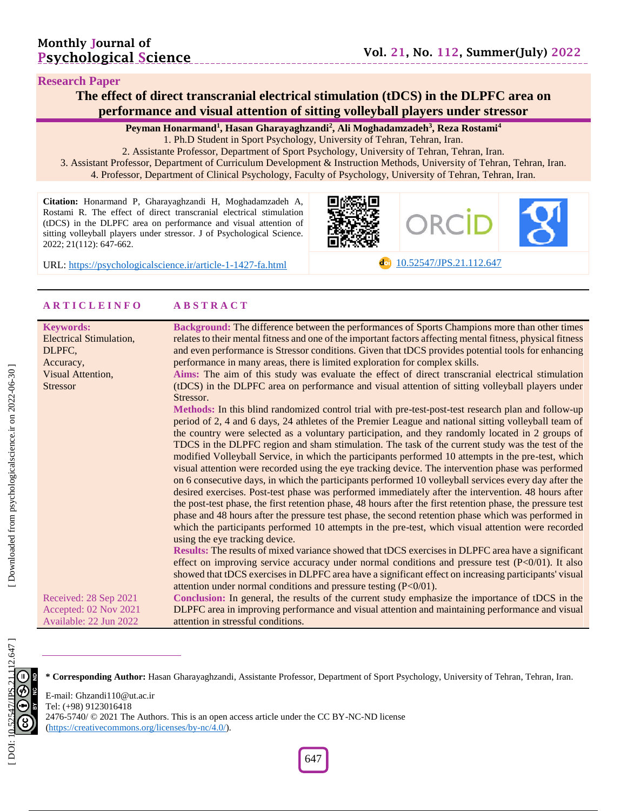#### **Research Paper**

## **The effect of direct transcranial electrical stimulation (tDCS) in the DLPFC area on performance and visual attention of sitting volleyball players under stressor**

**Peyman Honarmand 1 , Hasan Gharayaghzandi 2 , Ali Moghadamzadeh 3 , Reza Rostami 4**

1. Ph .D Student in Sport Psychology, University of Tehran, Tehran, Iran .

2. Assistante Professor, Department of Sport Psychology, University of Tehran, Tehran, Iran. 3. Assistant Professor, Department of Curriculum Development & Instruction Methods, University of Tehran, Tehran, Iran. 4. Professor, Department of Clinical Psychology, Faculty of Psychology, University of Tehran, Tehran, Iran.

**Citation:** Honarmand P, Gharayaghzandi H, Moghadamzadeh A, Rostami R. The effect of direct transcranial electrical stimulation (tDCS) in the DLPFC area on performance and visual attention of sitting volleyball players under stressor. J of Psychological Science. 2022; 21(1 1 2): 647 -662 .



URL: [https://psychologicalscience.ir/article](https://psychologicalscience.ir/article-1-1427-fa.html)-1-1427

**c**o [10.52547/JPS.21.11](https://psychologicalscience.ir/article-1-1427-fa.html)2.647

#### **A R T I C L E I N F O A B S T R A C T**

| <b>Keywords:</b>        | Background: The difference between the performances of Sports Champions more than other times               |
|-------------------------|-------------------------------------------------------------------------------------------------------------|
| Electrical Stimulation, | relates to their mental fitness and one of the important factors affecting mental fitness, physical fitness |
| DLPFC,                  | and even performance is Stressor conditions. Given that tDCS provides potential tools for enhancing         |
| Accuracy,               | performance in many areas, there is limited exploration for complex skills.                                 |
| Visual Attention,       | Aims: The aim of this study was evaluate the effect of direct transcranial electrical stimulation           |
| <b>Stressor</b>         | (tDCS) in the DLPFC area on performance and visual attention of sitting volleyball players under            |
|                         | Stressor.                                                                                                   |
|                         | Methods: In this blind randomized control trial with pre-test-post-test research plan and follow-up         |
|                         | period of 2, 4 and 6 days, 24 athletes of the Premier League and national sitting volleyball team of        |
|                         | the country were selected as a voluntary participation, and they randomly located in 2 groups of            |
|                         | TDCS in the DLPFC region and sham stimulation. The task of the current study was the test of the            |
|                         | modified Volleyball Service, in which the participants performed 10 attempts in the pre-test, which         |
|                         | visual attention were recorded using the eye tracking device. The intervention phase was performed          |
|                         | on 6 consecutive days, in which the participants performed 10 volleyball services every day after the       |
|                         | desired exercises. Post-test phase was performed immediately after the intervention. 48 hours after         |
|                         | the post-test phase, the first retention phase, 48 hours after the first retention phase, the pressure test |
|                         | phase and 48 hours after the pressure test phase, the second retention phase which was performed in         |
|                         | which the participants performed 10 attempts in the pre-test, which visual attention were recorded          |
|                         | using the eye tracking device.                                                                              |
|                         | <b>Results:</b> The results of mixed variance showed that tDCS exercises in DLPFC area have a significant   |
|                         | effect on improving service accuracy under normal conditions and pressure test $(P<0/01)$ . It also         |
|                         | showed that tDCS exercises in DLPFC area have a significant effect on increasing participants' visual       |
|                         | attention under normal conditions and pressure testing $(P<0/01)$ .                                         |
| Received: 28 Sep 2021   | Conclusion: In general, the results of the current study emphasize the importance of tDCS in the            |
| Accepted: 02 Nov 2021   | DLPFC area in improving performance and visual attention and maintaining performance and visual             |
| Available: 22 Jun 2022  | attention in stressful conditions.                                                                          |

Available: 22 Jun 202 2

**\* Corresponding Author :** Hasan Gharayaghzandi , Assistante Professor, Department of Sport Psychology, University of Tehran, Tehran, Iran.



Downloaded from psychologicalscience.ir on 2022-06-30

E -mail: Ghzandi110@ut.ac.ir Tel: (+98) 9123016418 2476-5740/ © 2021 The Authors. This is an open access article under the CC BY-NC-ND license [\(https://creativecommons.org/licenses/by](https://creativecommons.org/licenses/by-nc/4.0/) -nc/4.0/).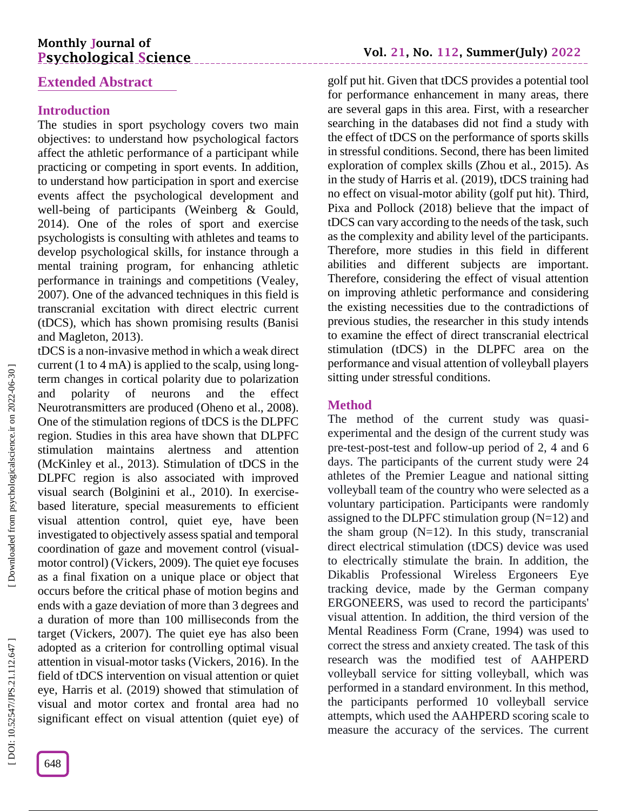# **Monthly Journal of Psychological Science**

# **Extended Abstract**

## **Introduction**

The studies in sport psychology covers two main objectives: to understand how psychological factors affect the athletic performance of a participant while practicing or competing in sport events. In addition, to understand how participation in sport and exercise events affect the psychological development and well -being of participants (Weinberg & Gould, 2014). One of the roles of sport and exercise psychologists is consulting with athletes and teams to develop psychological skills, for instance through a mental training program, for enhancing athletic performance in trainings and competitions (Vealey, 2007). One of the advanced techniques in this field is transcranial excitation with direct electric current (tDCS), which has shown promising results (Banisi and Magleton, 2013) .

tDCS is a non -invasive method in which a weak direct current (1 to 4 mA) is applied to the scalp, using long term changes in cortical polarity due to polarization and polarity of neurons and the effect Neurotransmitters are produced (Oheno et al., 2008). One of the stimulation regions of tDCS is the DLPFC region. Studies in this area have shown that DLPFC stimulation maintains alertness and attention (McKinley et al., 2013). Stimulation of tDCS in the DLPFC region is also associated with improved visual search (Bolginini et al., 2010). In exercise based literature, special measurements to efficient visual attention control, quiet eye, have been investigated to objectively assess spatial and temporal coordination of gaze and movement control (visual motor control) (Vickers, 2009). The quiet eye focuses as a final fixation on a unique place or object that occurs before the critical phase of motion begins and ends with a gaze deviation of more than 3 degrees and a duration of more than 100 milliseconds from the target (Vickers, 2007). The quiet eye has also been adopted as a criterion for controlling optimal visual attention in visual -motor tasks (Vickers, 2016). In the field of tDCS intervention on visual attention or quiet eye, Harris et al. (2019) showed that stimulation of visual and motor cortex and frontal area had no significant effect on visual attention (quiet eye) of

golf put hit . Given that tDCS provides a potential tool for performance enhancement in many areas, there are several gaps in this area. First, with a researcher searching in the databases did not find a study with the effect of tDCS on the performance of sports skills in stressful conditions. Second, there has been limited exploration of complex skills (Zhou et al., 2015). As in the study of Harris et al. (2019), tDCS training had no effect on visual -motor ability (golf put hit). Third, Pixa and Pollock (2018) believe that the impact of tDCS can vary according to the needs of the task, such as the complexity and ability level of the participants. Therefore, more studies in this field in different abilities and different subjects are important. Therefore, considering the effect of visual attention on improving athletic performance and considering the existing necessities due to the contradictions of previous studies, the researcher in this study intends to examine the effect of direct transcranial electrical stimulation (tDCS) in the DLPFC area on the performance and visual attention of volleyball players sitting under stressful conditions.

## **Method**

The method of the current study was quasiexperimental and the design of the current study was pre -test -post -test and follow -up period of 2, 4 and 6 days. The participants of the current study were 24 athletes of the Premier League and national sitting volleyball team of the country who were selected as a voluntary participation. Participants were randomly assigned to the DLPFC stimulation group  $(N=12)$  and the sham group  $(N=12)$ . In this study, transcranial direct electrical stimulation (tDCS) device was used to electrically stimulate the brain. In addition, the Dikablis Professional Wireless Ergoneers Eye tracking device, made by the German company ERGONEERS, was used to record the participants' visual attention. In addition, the third version of the Mental Readiness Form (Crane, 1994) was used to correct the stress and anxiety created. The task of this research was the modified test of AAHPERD volleyball service for sitting volleyball, which was performed in a standard environment. In this method, the participants performed 10 volleyball service attempts, which used the AAHPERD scoring scale to measure the accuracy of the services. The current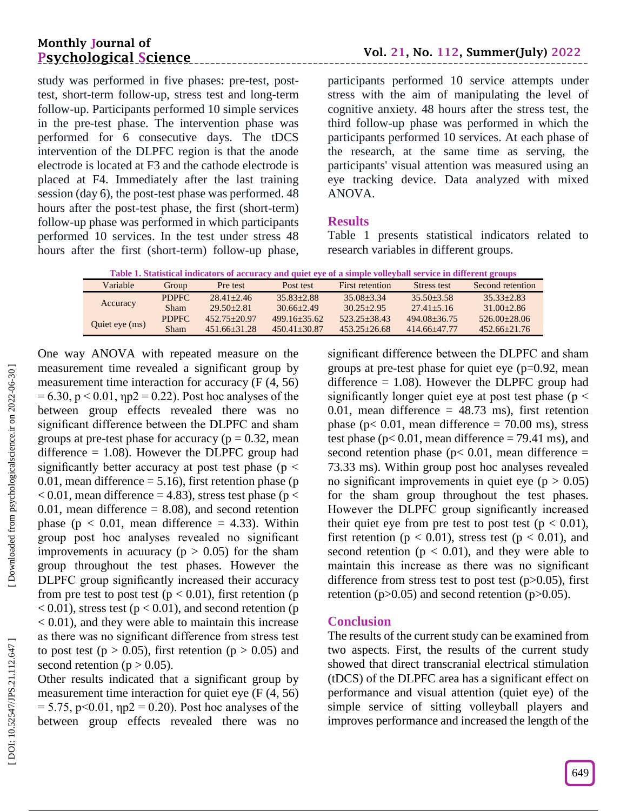# **Monthly Journal of Psychological Science**

 $\overline{\phantom{a}}$ 

study was performed in five phases: pre -test, post test, short -term follow -up, stress test and long -term follow -up. Participants performed 10 simple services in the pre -test phase. The intervention phase was performed for 6 consecutive days. The tDCS intervention of the DLPFC region is that the anode electrode is located at F3 and the cathode electrode is placed at F4. Immediately after the last training session (day 6), the post -test phase was performed. 48 hours after the post -test phase, the first (short -term) follow -up phase was performed in which participants performed 10 services. In the test under stress 48 hours after the first (short -term) follow -up phase,

participants performed 10 service attempts under stress with the aim of manipulating the level of cognitive anxiety. 48 hours after the stress test, the third follow -up phase was performed in which the participants performed 10 services. At each phase of the research, at the same time as serving, the participants' visual attention was measured using an eye tracking device. Data analyzed with mixed ANOVA.

### **Results**

Table 1 presents statistical indicators related to research variables in different groups.

| Table 1. Statistical indicators of accuracy and quiet eye of a simple volleyball service in different groups |
|--------------------------------------------------------------------------------------------------------------|
|--------------------------------------------------------------------------------------------------------------|

| Variable       | Group        | Pre test         | Post test        | First retention  | Stress test      | Second retention |
|----------------|--------------|------------------|------------------|------------------|------------------|------------------|
|                | PDPFC        | $28.41 + 2.46$   | $35.83 + 2.88$   | $35.08 + 3.34$   | $35.50 + 3.58$   | $35.33 + 2.83$   |
| Accuracy       | <b>Sham</b>  | $29.50 + 2.81$   | $30.66 + 2.49$   | $30.25 + 2.95$   | $27.41 + 5.16$   | $31.00 + 2.86$   |
|                | <b>PDPFC</b> | $452.75 + 20.97$ | $499.16 + 35.62$ | $523.25 + 38.43$ | $494.08 + 36.75$ | $526.00+28.06$   |
| Quiet eye (ms) | Sham         | $451.66 + 31.28$ | $450.41 + 30.87$ | $453.25 + 26.68$ | $414.66 + 47.77$ | $452.66 + 21.76$ |

One way ANOVA with repeated measure on the measurement time revealed a significant group by measurement time interaction for accuracy (F (4, 56)  $= 6.30, p < 0.01, \eta p2 = 0.22$ ). Post hoc analyses of the between group effects revealed there was no significant difference between the DLPFC and sham groups at pre-test phase for accuracy ( $p = 0.32$ , mean difference  $= 1.08$ ). However the DLPFC group had significantly better accuracy at post test phase ( $p \le$ 0.01, mean difference  $= 5.16$ ), first retention phase (p  $< 0.01$ , mean difference = 4.83), stress test phase (p  $<$  $0.01$ , mean difference = 8.08), and second retention phase ( $p < 0.01$ , mean difference = 4.33). Within group post hoc analyses revealed no significant improvements in acuuracy ( $p > 0.05$ ) for the sham group throughout the test phases. However the DLPFC group significantly increased their accuracy from pre test to post test ( $p < 0.01$ ), first retention (p  $(0.01)$ , stress test ( $p < 0.01$ ), and second retention (p < 0.01), and they were able to maintain this increase as there was no significant difference from stress test to post test ( $p > 0.05$ ), first retention ( $p > 0.05$ ) and second retention ( $p > 0.05$ ).

Other results indicated that a significant group by measurement time interaction for quiet eye (F (4, 56)  $= 5.75$ , p<0.01,  $np2 = 0.20$ ). Post hoc analyses of the between group effects revealed there was no

significant difference between the DLPFC and sham groups at pre -test phase for quiet eye (p=0.92, mean difference  $= 1.08$ ). However the DLPFC group had significantly longer quiet eye at post test phase ( $p <$ 0.01, mean difference  $= 48.73$  ms), first retention phase ( $p < 0.01$ , mean difference = 70.00 ms), stress test phase ( $p < 0.01$ , mean difference = 79.41 ms), and second retention phase ( $p$ < 0.01, mean difference = 73.33 ms). Within group post hoc analyses revealed no significant improvements in quiet eye ( $p > 0.05$ ) for the sham group throughout the test phases. However the DLPFC group significantly increased their quiet eye from pre test to post test ( $p < 0.01$ ), first retention ( $p < 0.01$ ), stress test ( $p < 0.01$ ), and second retention ( $p < 0.01$ ), and they were able to maintain this increase as there was no significant difference from stress test to post test  $(p>0.05)$ , first retention ( $p > 0.05$ ) and second retention ( $p > 0.05$ ).

#### **Conclusion**

The results of the current study can be examined from two aspects. First, the results of the current study showed that direct transcranial electrical stimulation (tDCS) of the DLPFC area has a significant effect on performance and visual attention (quiet eye) of the simple service of sitting volleyball players and improves performance and increased the length of the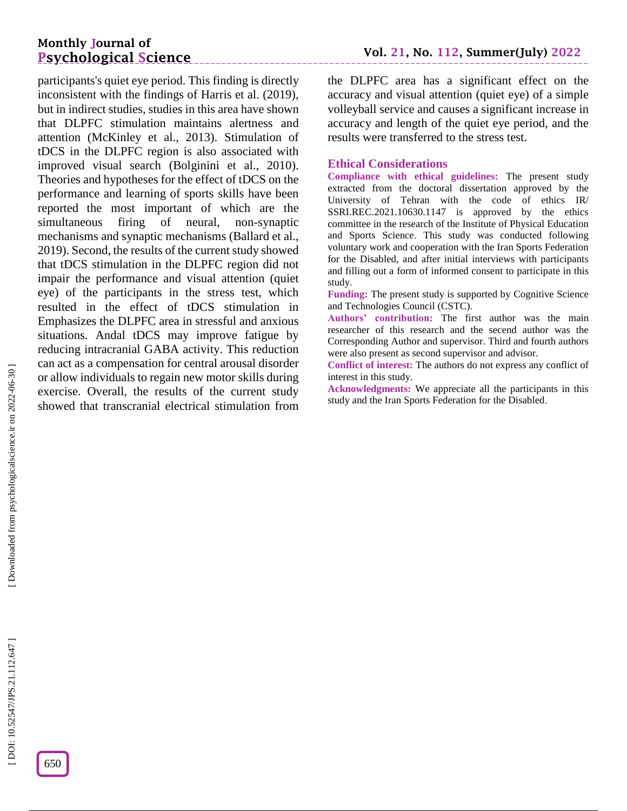# **Monthly Journal of Psychological Science**

participants's quiet eye period. This finding is directly inconsistent with the findings of Harris et al. (2019), but in indirect studies, studies in this area have shown that DLPFC stimulation maintains alertness and attention (McKinley et al., 2013). Stimulation of tDCS in the DLPFC region is also associated with improved visual search (Bolginini et al., 2010). Theories and hypotheses for the effect of tDCS on the performance and learning of sports skills have been reported the most important of which are the simultaneous firing of neural, non-synaptic mechanisms and synaptic mechanisms (Ballard et al., 2019). Second, the results of the current study showed that tDCS stimulation in the DLPFC region did not impair the performance and visual attention (quiet eye) of the participants in the stress test, which resulted in the effect of tDCS stimulation in Emphasizes the DLPFC area in stressful and anxious situations. Andal tDCS may improve fatigue by reducing intracranial GABA activity. This reduction can act as a compensation for central arousal disorder or allow individuals to regain new motor skills during exercise. Overall, the results of the current study showed that transcranial electrical stimulation from

the DLPFC area has a significant effect on the accuracy and visual attention (quiet eye) of a simple volleyball service and causes a significant increase in accuracy and length of the quiet eye period, and the results were transferred to the stress test.

#### **Ethical Considerations**

**Compliance with ethical guidelines:** The present study extracted from the doctoral dissertation approved by the University of Tehran with the code of ethics IR/ SSRI.REC.2021.10630.1147 is approved by the ethics committee in the research of the Institute of Physical Education and Sports Science . This study was conducted following voluntary work and cooperation with the Iran Sports Federation for the Disabled, and after initial interviews with participants and filling out a form of informed consent to participate in this study .

**Funding:** The present study is supported by Cognitive Science and Technologies Council (CSTC) .

**Authors' contribution:** The first author was the main researcher of this research and the secend author was the Corresponding Author and supervisor. Third and fourth authors were also present as second supervisor and advisor.

**Conflict of interest:** The authors do not express any conflict of interest in this study.

**Acknowledgments:** We appreciate all the participants in this study and the Iran Sports Federation for the Disabled .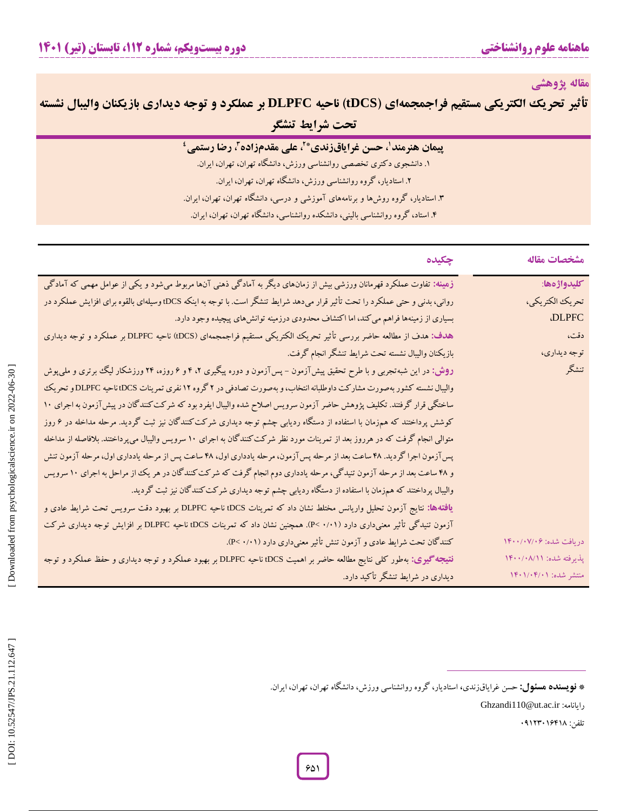**مقاله پژوهشی**

تأثير تحريك الكتريكي مستقيم فراجمجمهاي (tDCS) ناحيه DLPFC بر عملكرد و توجه ديداري بازيكنان واليبال نشسته **تحت شرایط تنشگر**

| پیمان هنرمند'، حسن غرایاقزندی*}، علی مقدمزاده}، رضا رستمی <sup>؛</sup>           |
|----------------------------------------------------------------------------------|
| ۱. دانشجوی دکتری تخصصی روانشناسی ورزش، دانشگاه تهران، تهران، ایران.              |
| ۲. استادیار، گروه روانشناسی ورزش، دانشگاه تهران، تهران، ایران.                   |
| ۳. استادیار، گروه روشها و برنامههای آموزشی و درسی، دانشگاه تهران، تهران، ایران.  |
| ۴. استاد، گروه روانشناسی بالینی، دانشکده روانشناسی، دانشگاه تهران، تهران، ایران. |

| چکیده                                                                                                                                  | مشخصات مقاله            |
|----------------------------------------------------------------------------------------------------------------------------------------|-------------------------|
| زهینه: تفاوت عملکرد قهرمانان ورزشی بیش از زمانهای دیگر به آمادگی ذهنی آنها مربوط میشود و یکی از عوامل مهمی که آمادگی                   | كليدواژهها:             |
| روانی، بدنی و حتی عملکرد را تحت تأثیر قرار میدهد شرایط تنشگر است. با توجه به اینکه DCS؛ وسیلهای بالقوه برای افزایش عملکرد در           | تحريك الكتريكي،         |
| بسیاری از زمینهها فراهم می کند، اما اکتشاف محدودی درزمینه توانشهای پیچیده وجود دارد.                                                   | <b>.DLPFC</b>           |
| هدف: هدف از مطالعه حاضر بررسی تأثیر تحریک الکتریکی مستقیم فراجمجمهای (tDCS) ناحیه DLPFC بر عملکرد و توجه دیداری                        | دقت،                    |
| بازيكنان واليبال نشسته تحت شرايط تنشگر انجام گرفت.                                                                                     | توجه ديداري،            |
| <b>روش:</b> در این شبهتجربی و با طرح تحقیق پیشآزمون – پسآزمون و دوره پیگیری ۲، ۴ و ۶ روزه، ۲۴ ورزشکار لیگ برتری و ملیپوش               | تنشكر                   |
| والیبال نشسته کشور بهصورت مشارکت داوطلبانه انتخاب، و بهصورت تصادفی در ۲ گروه ۱۲ نفری تمرینات DCS، ناحیه DLPFCو تحریک                   |                         |
| ساختگی قرار گرفتند. تکلیف پژوهش حاضر آزمون سرویس اصلاح شده والیبال ایفرد بود که شرکت کنندگان در پیش آزمون به اجرای ۱۰                  |                         |
| کوشش پرداختند که همزمان با استفاده از دستگاه ردیابی چشم توجه دیداری شرکت کنندگان نیز ثبت گردید. مرحله مداخله در ۶ روز                  |                         |
| متوالی انجام گرفت که در هرروز بعد از تمرینات مورد نظر شرکت کنندگان به اجرای ۱۰ سرویس والیبال میپرداختند. بلافاصله از مداخله            |                         |
| پسآزمون اجرا گردید. ۴۸ ساعت بعد از مرحله پسآزمون، مرحله یادداری اول، ۴۸ ساعت پس از مرحله یادداری اول، مرحله آزمون تنش                  |                         |
| و ۴۸ ساعت بعد از مرحله آزمون تنیدگی، مرحله یادداری دوم انجام گرفت که شرکت کنندگان در هر یک از مراحل به اجرای ۱۰ سرویس                  |                         |
| والیبال پرداختند که همزمان با استفاده از دستگاه ردیابی چشم توجه دیداری شرکت کنندگان نیز ثبت گردید.                                     |                         |
| <b>یافتهها:</b> نتایج آزمون تحلیل واریانس مختلط نشان داد که تمرینات iDCS ناحیه DLPFC بر بهبود دقت سرویس تحت شرایط عادی و               |                         |
| آزمون تنیدگی تأثیر معنیداری دارد (۰/۱۱) .P< .(۱۰۱). همچنین نشان داد که تمرینات tDCS ناحیه DLPFC بر افزایش توجه دیداری شرکت             |                         |
| کنندگان تحت شرایط عادی و آزمون تنش تأثیر معنیداری دارد (۰/۰۱).                                                                         | دريافت شده: ۱۴۰۰/۰۷/۰۶  |
| <b>نتیجه گیری:</b> بهطور کل <sub>ی</sub> نتایج مطالعه حاضر بر اهمیت tDCS ناحیه DLPFC بر بهبود عملکرد و توجه دیداری و حفظ عملکرد و توجه | پذیرفته شده: ۱۴۰۰/۰۸/۱۱ |
| دیداری در شرایط تنشگر تأکید دارد.                                                                                                      | منتشر شده: ۱۴۰۱/۰۴/۰۱   |
|                                                                                                                                        |                         |
|                                                                                                                                        |                         |
|                                                                                                                                        |                         |
|                                                                                                                                        |                         |
|                                                                                                                                        |                         |
| * <b>نویسنده هسئول:</b> حسن غرایاقزندی، استادیار، گروه روانشناسی ورزش، دانشگاه تهران، تهران، ایران.                                    |                         |

Ghzandi110@ut.ac.ir :رایانامه

تلفن: ۱۶۴۱۸۰۱۶۴۰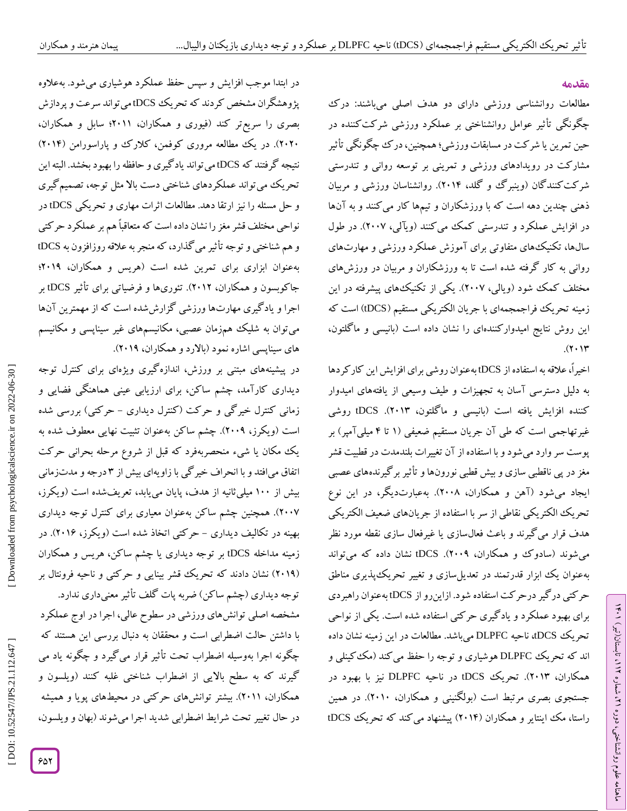#### **مقدمه**

مطالعات روانشناسی ورزشی دارای دو هدف اصلی میباشند: درک چگونگی تأثیر عوامل روانشناختی بر عملکرد ورزشی شرکتکننده در حین تمرین یا شرکت در مسابقات ورزشی؛ همچنین، درک چگونگی تأثیر مشارکت در رویدادهای ورزشی و تمرینی بر توسعه روانی و تندرستی شر کت کنند کان (وینبر ک و کلد، ۲۰۱۴). روانشناسان ورزشی و مربیان ذهنی چندین دهه است که با ورزشکاران و تیمها کار می کنند و به آنها در افزایش عملکرد و تندرستی کمک می کنند (ویالی، ۲۰۰۷). در طول سالها، تکنیکهای متفاوتی برای آموزش عملکرد ورزشی و مهارتهای روانی به کار گرفته شده است تا به ورزشکاران و مربیان در ورزشهای مختلف کمک شود (ویالی، ۲۰۰۷). یکی از تکنیکهای پیشرفته در این زمینه تحریک فراجمجمهای با جریان الکتریکی مستقیم (DCS) است که این روش نتایج امیدوار کنندهای را نشان داده است (بانیسی و ما کلتون،  $(7.14)$ 

اخیراً، علاقه به استفاده از tDCS بهعنوان روشی برای افزایش این کارکردها به دلیل دسترسی اسان به تجهیزات و طیف وسیعی از یافتههای امیدوار کننده افزایش یافته است (بانیسی و ماگلتون، ۱۳۰۱۳). tDCS روشی غیرتهاجمی است که طی آن جریان مستقیم ضعیفی (۱ تا ۴ میلی آمپر) بر پوست سر وارد می شود و با استفاده از آن تغییرات بلندمدت در قطبیت قشر مغز در پی ناقطبی سازی و بیش قطبی نورونها و تاثیر بر کیرندههای عصبی ایجاد میشود (آهن و همکاران، ۲۰۰۸). بهعبارتدیکر، در این نوع تحریک الکتریکی نقاطی از سر با استفاده از جریانهای ضعیف الکتریکی هدف قرار می کیرند و باعث فعال $\omega$ ازی یا غیرفعال سازی نقطه مورد نظر میشوند (سادوک و همکاران، ۲۰۰۹). tDCS نشان داده که میتواند بهعنوان یک ابزار قدرتمند در تعدیل $\psi$ ازی و تغییر تحریک $\psi$ یدیری مناطق حرکتی در گیر درحرکت استفاده شود. ازاینرو از tDCS بهعنوان راهبردی برای بهبود عملکرد و یادگیری حرکتی استفاده شده است. یکی از نواحی تحریک tDCS، ناحیه DLPFC میباشد. مطالعات در این زمینه نشان داده اند که تحریک DLPFC هوشیاری و توجه را حفظ می کند (مک کینلی و همکاران، ۲۰۱۳). تحریک tDCS در ناحیه DLPFC نیز با بهبود در جستجوی بصری مرتبط است (بولکنینی و همکاران، ۲۰۱۰). در همین راستا، مک اینتایر و همکاران (۲۰۱۴) پیشنهاد میکند که تحریک tDCS

در ابتدا موجب افزایش و سپس حفظ عملکرد هوشیاری می شود. بهعلاوه پژوهشگران مشخص کردند که تحریک tDCS میتواند سرعت و پردازش بصری را سریعتر کند (فیوری و همکاران، ۲۰۱۱؛ سابل و همکاران، ۱۲۰۲۰). در یک مطالعه مروری کوفمن، کلار ک و پاراسورامن (۲۰۱۴) نتیجه گرفتند که tDCS میتواند یادگیری و حافظه را بهبود بخشد. البته این تحریک میتواند عملکردهای شناختی دست باال مثل توجه، تصمیمگیری و حل مسئله را نیز ارتقا دهد. مطالعات اثرات مهاری و تحریکی tDCS در نواحی مختلف قشر مغز را نشان داده است که متعاقباًهم بر عملکرد حرکتی و هم شناختی و توجه تأثیر میگذارد، که منجر به علاقه روزافزون به tDCS بهعنوان ابزاری برای تمرین شده است )هریس و همکاران، 2064؛ جاکوبسون و همکاران، ۲۰۱۲). تئوریها و فرضیاتی برای تأثیر tDCS بر اجرا و یاد کیری مهارتها ورزشی کزارششده است که از مهمترین آنها سیناپسی و مکانیسم های سیناپسی اشاره نمود (بالارد و همکاران، ۲۰۱۹).

در پیشینههای مبتنی بر ورزش، اندازهگیری ویژهای برای کنترل توجه<br>دیداری کارآمد، چشم ساکن، برای ارزیابی عینی هماهنگی فضایی و زمانی کنترل خیر کی و حرکت (کنترل دیداری – حرکتی) بررسی شده است )ویکرز، 2004(. چشم ساکن بهعنوان تثبیت نهایی معطوف شده به یک مکان یا شیء منحصربهفرد که قبل از شروع مرحله بحرانی حرکت درجه و مدتزمانی اتفاق میافتد و با انحراف خیرگی با زاویهای بیش از 3 بیش از ۱۰۰ میلی تانیه از هدف، پایان میbبابد، تعریفشده است (ویکرز، 2000(. همچنین چشم ساکن بهعنوان معیاری برای کنترل توجه دیداری بهینه در تکالیف دیداری – حرکتی اتخاد شده است (ویکرز، ۲۰۱۶). در زمینه مداخله tDCS بر توجه دیداری یا چشم ساکن، هریس و همکاران (۲۰۱۹) نشان دادند که تحریک قشر بینایی و حرکتی و ناحیه فرونتال بر

توجه دیداری (چشم ساکن) ضربه پات کلف تاثیر معنیداری ندارد. مشخصه اصلی توانشهای ورزشی در سطوح عالی، اجرا در اوج عملکرد با داشتن حالت اضطرابی است و محققان به دنبال بررسی این هستند که چگونه اجرا بهوسیله اضطراب تحت تاثیر قرار می کیرد و چگونه یاد می گیرند که به سطح باالیی از اضطراب شناختی غلبه کنند )ویلسون و همکاران، ۲۰۱۱). بیشتر توانشهای حرکتی در محیطهای پویا و همیشه در حال تغییر تحت شرایط اضطرابی شدید اجرا میشوند )بهان و ویلسون،

DOI:

Downloaded from psychologicalscience.ir on 2022-06-30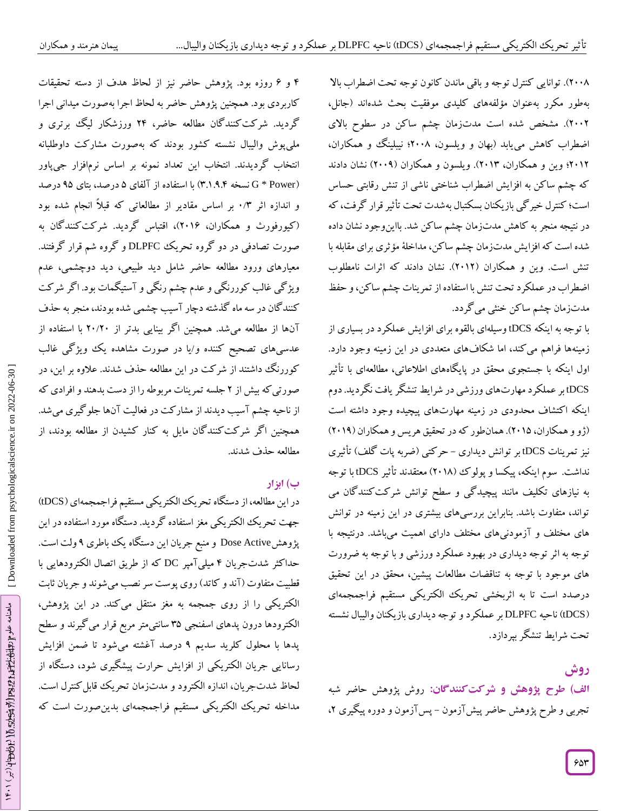۲۰۰۸). توانایی کنترل توجه و باقی ماندن کانون توجه تحت اضطراب بالا بهطور مکرر بهعنوان مؤلفههای کلیدی موفقیت بحث شدهاند (جانل، 2002(. مشخص شده است مدتزمان چشم ساکن در سطوح باالی اضطراب کاهش مییابد )بهان و ویلسون، 2000؛ نیبلینگ و همکاران، 2062؛ وین و همکاران، 2063(. ویلسون و همکاران )2004( نشان دادند که چشم ساکن به افزایش اضطراب شناختی ناشی از تنش رقابتی حساس است؛ کنترل خیر کی بازیکنان بسکتبال بهشدت تحت تأثیر قرار کرفت، که در نتیجه منجر به کاهش مدتزمان چشم ساکن شد. بااین وجود نشان داده شده است که افزایش مدتزمان چشم ساکن، مداخلۀ مؤثری برای مقابله با تنش است. وین و همکاران )2062(. نشان دادند که اثرات نامطلوب اضطراب در عملکرد تحت تنش با استفاده از تمرینات چشم ساکن، و حفظ مدتزمان چشم ساکن خنثی میگردد.

از با توجه به اینکه tDCS وسیلهای بالقوه برای افزایش عملکرد در بسیاری زمینهها فراهم میکند، اما شکافهای متعددی در این زمینه وجود دارد.<br>اول اینکه با جستجوی محقق در پایگاههای اطلاعاتی، مطالعهای با تأثیر tDCS بر عملکرد مهارتهای ورزشی در شرایط تنشگر یافت نگردید. دوم اینکه اکتشاف محدودی در زمینه مهارتهای پیچیده وجود داشته است (زو و همکاران، ۲۰۱۵). همانطور که در تحقیق هریس و همکاران (۲۰۱۹) نیز تمرینات tDCS بر توانش دیداری – حرکتی (ضربه پات گلف) تأثیری نداشت. سوم اینکه، پیکسا و پولوک (۲۰۱۸) معتقدند تأثیر tDCS با توجه به نیازهای تکلیف مانند پیچیدگی و سطح توانش شرکتکنندگان می تواند، متفاوت باشد. بنابراین بررسیهای بیشتری در این زمینه در توانش های مختلف و آزمودنیهای مختلف دارای اهمیت میباشد. درنتیجه با توجه به اثر توجه دیداری در بهبود عملکرد ورزشی و با توجه به ضرورت های موجود با توجه به تناقضات مطالعات پیشین، محقق در این تحقیق درصدد است تا به اثربخشی تحریک الکتریکی مستقیم فراجمجمهای tDCS )ناحیه DLPFC بر عملکرد و توجه دیداری بازیکنان والیبال نشسته ( تحت شرایط تنشگر بپردازد.

**روش**

روش پژوهش حاضر شبه **شرکتکنندگان: الف( طرح پژوهش و** تجربی و طرح پژوهش حاضر پیش آزمون – پس آزمون و دوره پیگیری ۲،

۴ و ۶ روزه بود. پژوهش حاضر نیز از لحاظ هدف از دسته تحقیقات کاربردی بود. همچنین پژوهش حاضر به لحاظ اجرا بهصورت میدانی اجرا<br>گردید. شرکتکنندگان مطالعه حاضر، ۲۴ ورزشکار لیگ برتری و پوش والیبال نشسته کشور بودند که بهصورت مشارکت داوطلبانه ملی انتخاب گردیدند. انتخاب این تعداد نمونه بر اساس نرمافزار جیپاور G \* Power) نسخه ۳.۱.۹.۴) با استفاده از آلفای ۵ درصد، بتای ۹۵ درصد و اندازه اثر ۰/۳ بر اساس مقادیر از مطالعاتی که قبلاً انجام شده بود )کیورفورث و همکاران، 2061(، اقتباس گردید. شرکتکنندگان به صورت تصادفی در دو گروه تحریک DLPFC و گروه شم قرار گرفتند. معیارهای ورود مطالعه حاضر شامل دید طبیعی، دید دوچشمی، عدم ویژ کی غالب کوررنگی و عدم چشم رنگی و استیگمات بود. اگر شرکت کنند کان در سه ماه کذشته دچار آسیب چشمی شده بودند، منجر به حذف انها از مطالعه میشد. همچنین اگر بینایی بدتر از ۲۰/۲۰ با استفاده از عدسیهای تصحیح کننده و/یا در صورت مشاهده یک ویژگی غالب ر کوررنگ داشتند از شرکت در این مطالعه حذف شدند. عالوه بر این، د صورتی که بیش از ۲ جلسه تمرینات مربوطه را از دست بدهند و افرادی که از ناحیه چشم آسیب دیدند از مشار کت در فعالیت آنها جلو گیری میشد. همچنین اگر شرکتکنندگان مایل به کنار کشیدن از مطالعه بودند، از<br>مطالعه حذف شدند.

## **ب( ابزار**

در این مطالعه، از دستگاه تحریک الکتریکی مستقیم فراجمجمهای (tDCS) جهت تحریک الکتریکی مغز استفاده گردید. دستگاه مورد استفاده در این پژوهش Dose Active و منبع جریان این دستگاه یک باطری ۹ ولت است. حداکثر شدتجریان ۴ میلیآمپر DC که از طریق اتصال الکترودهایی با قطبیت متفاوت (آند و کاتد) روی پوست سر نصب می شوند و جریان ثابت الکتریکی را از روی جمجمه به مغز منتقل میکند. در این پژوهش، الکترودها درون پدهای اسفنجی ۳۵ سانتیمتر مربع قرار می کیرند و سطح پدها با محلول کلرید سدیم ۹ درصد اغشته میشود تا ضمن افزایش رسانایی جریان الکتریکی از افزایش حرارت پیشگیری شود، دستگاه از لحاظ شدتجریان، اندازه الکترود و مدتزمان تحریک قابل کنترل است. مداخله تحریک الکتریکی مستقیم فراجمجمهای بدینصورت است که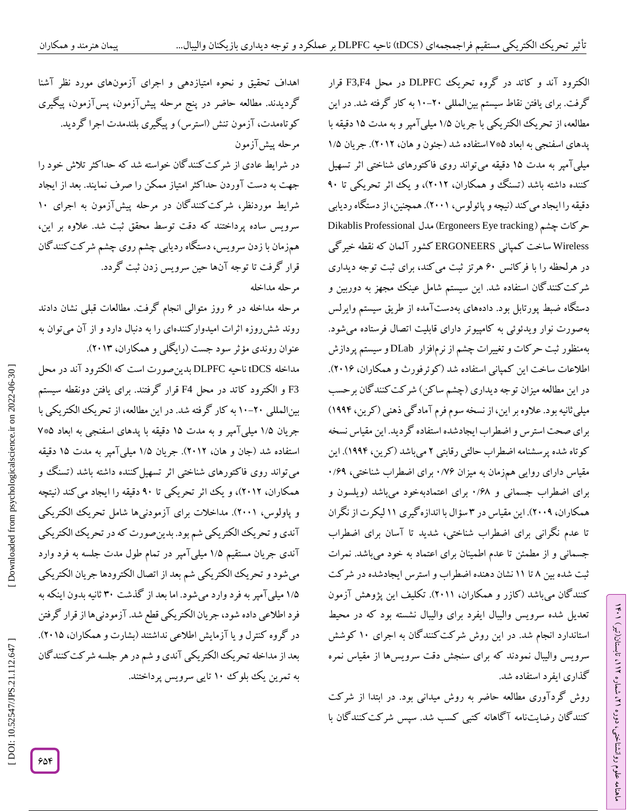الکترود آند و کاتد در گروه تحریک DLPFC در محل F3,F4 قرار گرفت. برای یافتن نقاط سیستم بین|لمللی ۲۰–۱۰ به کار کرفته شد. در این مطالعه، از تحریک الکتریکی با جریان ۱/۵ میلی آمپر و به مدت ۱۵ دقیقه با پدهای اسفنجی به ابعاد ۷۰۰۵ استفاده شد (جئون و هان، ۲۰۱۲). جریان ۱/۵ میلی۱مپر به مدت ۱۵ دقیقه میتواند روی فاکتورهای شناختی اثر تسهیل کننده داشته باشد (تسنگ و همکاران، ۲۰۱۲)، و یک اثر تحریکی تا ۹۰ دقیقه را ایجاد می کند (نیچه و پائولوس، ۲۰۰۱). همچنین، از دستگاه ردیابی Dikablis Professional مدل )Ergoneers Eye tracking حرکات چشم ) Wireless ساخت کمپانی ERGONEERS کشور آلمان که نقطه خیرگی در هرلحظه را با فرکانس ۶۰ هرتز ثبت میکند، برای ثبت توجه دیداری<br>شرکتکنندگان استفاده شد. این سیستم شامل عینک مجهز به دوربین و دستکاه ضبط پورتابل بود. دادههای بهدست آمده از طریق سیستم وایرلس بهصورت نوار ویدئوئی به کامپیوتر دارای قابلیت اتصال فرستاده میشود. بهمنظور ثبت حرکات و تغییرات چشم از نرم|فزار DLab و سیستم پردازش اطلاعات ساخت این کمپانی استفاده شد (کوئرفورث و همکاران، ۲۰۱۶). در این مطالعه میزان توجه دیداری (چشم ساکن) شرکت کنندگان برحسب میلی ثانیه بود. علاوه بر این، از نسخه سوم فرم آمادگی ذهنی (کرین، ۱۹۹۴) برای صحت استرس و اضطراب ایجادشده استفاده گردید. این مقیاس نسخه کوتاه شده پرسشنامه اضطراب حالتی رقابتی ۲ میباشد (کرین، ۱۹۹۴). این مقیاس دارای روایی همزمان به میزان ۱/۷۶ برای اضطراب شناختی، ۱/۶۹ برای اضطراب جسمانی و ۱٬۶۸ برای اعتمادبهخود میباشد (ویلسون و همکاران، ۲۰۰۹). این مقیاس در ۳ سؤال با اندازه کیری ۱۱ لیکرت از نگران تا عدم نگرانی برای اضطراب شناختی، شدید تا آسان برای اضطراب جسمانی و از مطمئن تا عدم اطمینان برای اعتماد به خود میباشد. نمرات ثبت شده بین ۸ تا ۱۱ نشان دهنده اضطراب و استرس ایجادشده در شر کت کنند کان میباشد ( کازر و همکاران، ۲۰۱۱). تکلیف این پژوهش آزمون شده سرویس والیبال ایفرد برای والیبال نشسته بود که در محیط تعدیل استاندارد انجام شد. در این روش شرکتکنندگان به اجرای 60 کوشش سرویس والیبال نمودند که برای سنجش دقت سرویس۵ا از مقیاس نمره<br>گذاری ایفرد استفاده شد.

روش گردآوری مطالعه حاضر به روش میدانی بود. در ابتدا از شرکت کنند کان رضایتنامه آکاهانه کتبی کسب شد. سپس شرکت کنندگان با

ラン

تابستان)تیر( ،

ミ

، شماره 26

ماهنامه علوم روانشناختی، دوره

اهداف تحقیق و نحوه امتیازدهی و اجرای آزمونهای مورد نظر آشنا ازمون، پسlزمون، پیکیری کوتاهمدت، آزمون تنش (استرس) و پیگیری بلندمدت اجرا گردید. آزمون مرحله پیش در شرایط عادی از شرکتکنندگان خواسته شد که حداکثر تالش خود را جهت به دست آوردن حداکثر امتیاز ممکن را صرف نمایند. بعد از ایجاد شرایط موردنظر، شرکت کنندگان در مرحله پیش[زمون به اجرای ۱۰ سرویس ساده پرداختند که دقت توسط محقق ثبت شد. عالوه بر این، همزمان با زدن سرویس، دستگاه ردیابی چشم روی چشم شرکتکنندگان قرار گرفت تا توجه آنها حین سرویس زدن ثبت گردد. مرحله مداخله

مرحله مداخله در ۶ روز متوالی انجام کرفت. مطالعات قبلی نشان دادند روند شش روزه اثرات امیدوار کنندهای را به دنبال دارد و از آن می توان به عنوان روندی مؤثر سود جست (رایکلی و همکاران، ۲۰۱۳).

صورت است که الکترود آند در محل مداخله tDCS ناحیه DLPFC بدین 3F و الکترود کاتد در محل 4F قرار گرفتند. برای یافتن دونقطه سیستم بین(لمللی ۲۰–۱۰ به کار گرفته شد. در این مطالعه، از تحریک الکتریکی با جریان ۱/۵ میلی آمپر و به مدت ۱۵ دقیقه با پدهای اسفنجی به ابعاد ۷\*۷ استفاده شد (جان و هان، ۲۰۱۲). جریان ۱/۵ میلی۱مپر به مدت ۱۵ دقیقه می تواند روی فاکتورهای شناختی اثر تسهیل کننده داشته باشد (تسنگ و همکاران، ۲۰۱۲)، و یک اثر تحریکی تا ۹۰ دقیقه را ایجاد می کند (نیتچه و پاولوس، 2006(. مداخالت برای آزمودنیها شامل تحریک الکتریکی اندی و تحریک الکتریکی شم بود. بدین صورت که در تحریک الکتریکی آندی جریان مستقیم ۱/۵ میلی آمپر در تمام طول مدت جلسه به فرد وارد میشود و تحریک الکتریکی شم بعد از اتصال الکترودها جریان الکتریکی ۱/۵ میلی آمپر به فرد وارد می شود. اما بعد از کدشت ۳۰ ثانیه بدون اینکه به فرد اطالعی داده شود، جریان الکتریکی قطع شد. آزمودنیها از قرار گرفتن در کروه کنترل و یا آزمایش اطلاعی نداشتند (بشارت و همکاران، ۲۰۱۵). بعد از مداخله تحریک الکتریکی آندی و شم در هر جلسه شرکتکنندگان به تمرین یک بلوک 60 تایی سرویس پرداختند.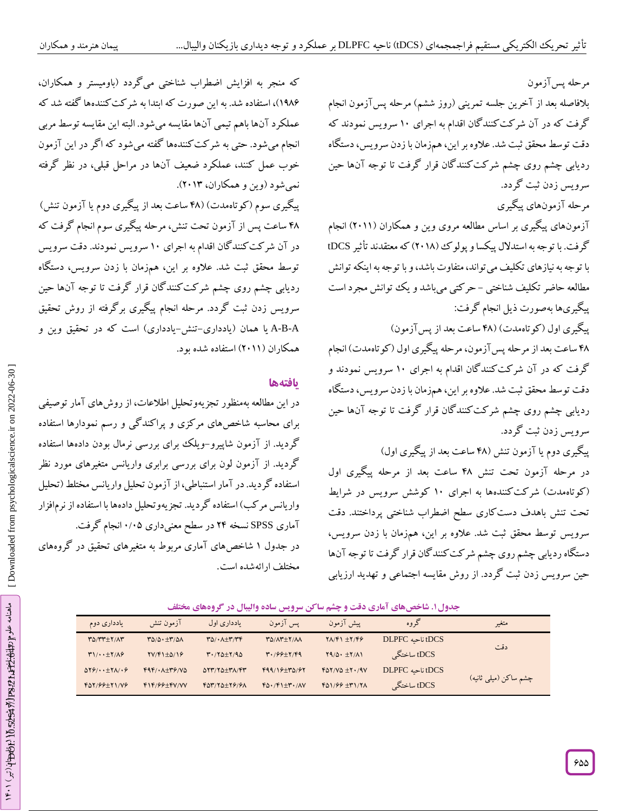که منجر به افزایش اضطراب شناختی میگردد )باومیستر و همکاران،

6401(، استفاده شد. به این صورت که ابتدا به شرکتکنندهها گفته شد که

عملکرد آنها باهم تیمی آنها مقایسه میشود. البته این مقایسه توسط مربی

انجام می شود. حتی به شر کت کنندهها گفته می شود که اگر در این آزمون خوب عمل کنند، عملکرد ضعیف آنها در مراحل قبلی، در نظر گرفته

پیگیری سوم )کوتاهمدت( )40 ساعت بعد از پیگیری دوم یا آزمون تنش( 40 ساعت پس از آزمون تحت تنش، مرحله پیگیری سوم انجام گرفت که

در آن شرکتکنندگان اقدام به اجرای 60 سرویس نمودند. دقت سرویس

توسط محقق ثبت شد. علاوه بر این، همزمان با زدن سرویس، دستگاه ردیابی چشم روی چشم شرکتکنندگان قرار گرفت تا توجه آنها حین

سرویس زدن ثبت گردد. مرحله انجام پیگیری برگرفته از روش تحقیق

-A-B یا همان (یادداری–تنش-یادداری) است که در تحقیق وین و

در این مطالعه بهمنظور تجزیهوتحلیل اطلاعات، از روشهای آمار توصیفی برای محاسبه شاخصهای مرکزی و پراکندگی و رسم نمودارها استفاده

گردید. از آزمون شاپیرو-ویلک برای بررسی نرمال بودن دادهها استفاده گردید. از آزمون لون برای بررسی برابری واریانس متغیرهای مورد نظر استفاده گردید. در آمار استنباطی، ازآزمون تحلیل واریانس مختلط )تحلیل

در جدول ۱ شاخصهای آماری مربوط به متغیرهای تحقیق در کروههای

آماری SPSS نسخه <sup>24</sup> در سطح معنیداری 0/05 انجام گرفت. واریانس مرکب( استفاده گردید. تجزیه

وتحلیل دادهها با استفاده از نرم۱فزار

نمیشود (وین و همکاران، ۲۰۱۳).

همکاران (۲۰۱۱) استفاده شده بود.

**یافتهها**

مرحله پسآزمون بالفاصله بعد از آخرین جلسه تمرینی )روز ششم( مرحله پسآزمون انجام گرفت که در آن شرکت کنند کان اقدام به اجرای ۱۰ سرویس نمودند که دقت توسط محقق ثبت شد. عالوه بر این، همزمان با زدن سرویس، دستگاه ردیابی چشم روی چشم شرکتکنندگان قرار گرفت تا توجه آنها حین سرویس زدن ثبت گردد.

مرحله آزمونهای پیگیری

آزمونهای پیگیری بر اساس مطالعه مروی وین و همکاران )2066( انجام گرفت. با توجه به استدلال پیکسا و پولوک (۲۰۱۸) که معتقدند تأثیر DCS با توجه به نیازهای تکلیف میتواند، متفاوت باشد، و با توجه به اینکه توانش مطالعه حاضر تکلیف شناختی – حر کتی میباشد و یک توانش مجرد است پیگیریها بهصورت ذیل انجام گرفت:

پیگیری اول (کوتاهمدت) (۴۸ ساعت بعد از پسآزمون)

۴۸ ساعت بعد از مرحله پس آزمون، مرحله پیگیری اول (کوتاهمدت) انجام گرفت که در آن شرکتکنندگان اقدام به اجرای 60 سرویس نمودند و دقت توسط محقق ثبت شد. عالوه بر این، همزمان با زدن سرویس، دستگاه ردیابی چشم روی چشم شرکتکنندگان قرار گرفت تا توجه آنها حین سرویس زدن ثبت گردد.

پیگیری دوم یا آزمون تنش )40 ساعت بعد از پیگیری اول( در مرحله آزمون تحت تنش 40 ساعت بعد از مرحله پیگیری اول (کوتاهمدت) شرکت کنندهها به اجرای ۱۰ کوشش سرویس در شرایط تحت تنش باهدف دست کاری سطح اضطراب شناختی پرداختند. دقت سرویس توسط محقق ثبت شد. عالوه بر این، همزمان با زدن سرویس، دستگاه ردیابی چشم روی چشم شرکتکنندگان قرار گرفت تا توجه آنها حین سرویس زدن ثبت کردد. از روش مقایسه اجتماعی و تهدید ارزیابی

| یادداری دوم                                                  | آزمون تنش                        | یادداری اول                                                   | يس آزمون                   | ييش آزمون                         | گروه             | متغير                  |
|--------------------------------------------------------------|----------------------------------|---------------------------------------------------------------|----------------------------|-----------------------------------|------------------|------------------------|
| $T\Delta/TT+\gamma/\Lambda T$                                | TO/O. + T/OA                     | $\mathbf{r}_{\Delta}/\cdot\mathbf{A}+\mathbf{r}_{\mathbf{r}}$ | TO/AT + Y/AA               | $Y\Lambda/F1 \pm Y/F9$            | tDCS ناحیه DLPFC |                        |
| $T1/\cdot \pm 7/\Lambda$                                     | $\frac{YV}{F1+\Delta}$           | $T.78 + 7.90$                                                 | $4.199+7.199$              | $Y9/\Delta \cdot \pm Y/\Lambda$   | tDCS ساختگی      | دقت                    |
| $\Delta Y \hat{z}' \cdot \cdot \pm Y \wedge / \cdot \hat{z}$ | $F4F/\cdot \Lambda + T9/V\Delta$ | $\Delta Y Y/Y \Delta \pm Y \Lambda / Y Y$                     | $F99/19+T0/97$             | $f\Delta Y/V\Delta \pm Y\cdot/9V$ | tDCS ناحیه DLPFC |                        |
| $F_{0}Y/99+Y1/19$                                            | $F1F/99+FV/VV$                   | $FOY/YQ+Y9/9A$                                                | $FO.$ / $F1 \pm r.$ / $AV$ | $F_{01}/F_{7} + F_{1}/T_{1}$      | tDCS ساختگی      | اچشم ساکن (میلی ثانیه) |
|                                                              |                                  |                                                               |                            |                                   |                  |                        |

**. شاخصهای آماری دقت و چشم ساکن سرویس ساده والیبال در گروههای مختلف جدول6**

مختلف ارائهشده است.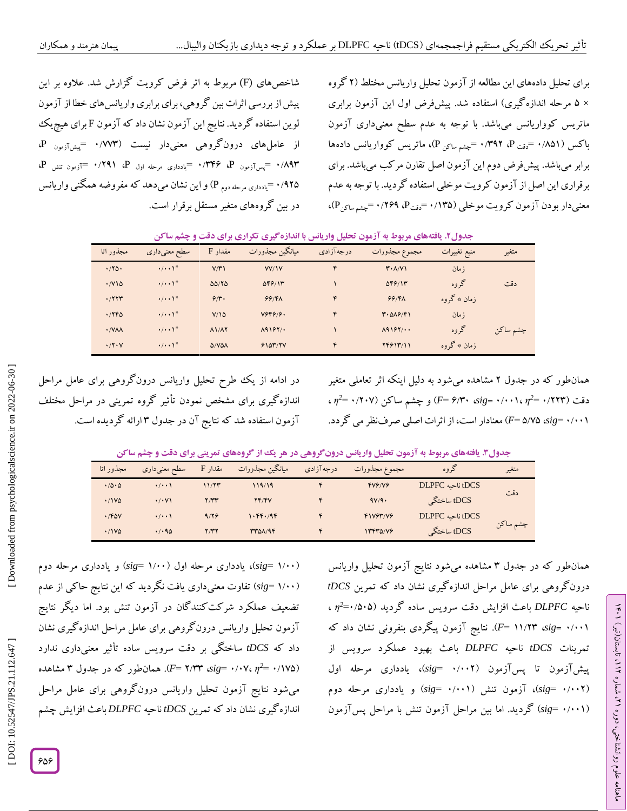شاخصهای (F (مربوط به اثر فرض کرویت گزارش شد. عالوه بر این پیش از بررسی اثرات بین گروهی، برای برابری واریانس های خطا از آزمون<br>لوین استفاده گردید. نتایج این آزمون نشان داد که آزمون F برای هیچ یک<br>از عامل های درونگروهی معنیدار نیست (۱/۷۷۳ =پی<sub>سآزمون</sub> P،<br>۱/۹۳ =پ<sub>سآزمون</sub> P، ۱/۳۴۶ =پ<sub>ا</sub> ٬۹۲۵ = یادداری مرحله دوم P) و این نشان میدهد که مفروضه همگنی واریانس در بین گروههای متغیر مستقل برقرار است.

گروه برای تحلیل دادههای این مطالعه از آزمون تحلیل واریانس مختلط )2 × ۵ مرحله اندازه کیری) استفاده شد. پیشفرض اول این آزمون برابری ماتریس کوواریانس میباشد. با توجه به عدم سطح معنیداری آزمون<br>باکس (۰/۸۵۱ =<sub>دقت P</sub> ۰/۳۹۲ = <sub>جشم ساکن</sub> P)، ماتریس کوواریانس دادهها برابر میباشد. پیشفرض دوم این آزمون اصل تقارن مرکب میباشد. برای برقراری این اصل از آزمون کرویت موخلی استفاده گردید. با توجه به عدم معنیدار بودن آزمون کرویت موخلی (۱۳۵/ ۰ =<sub>دقت</sub>P، ۱/۲۶۹ =ج<sub>شم ساکن</sub>P)،

|  |  | <b>جدول۲. یافتههای مربوط به آزمون تحلیل واریانس با اندازهگیری تکراری برای دقت و چشم ساکن</b> |
|--|--|----------------------------------------------------------------------------------------------|
|--|--|----------------------------------------------------------------------------------------------|

| مجذور اتا                    | سطح معنىدارى                    | مقدار F                     | ميانگين مجذورات  | درجه آزادی | مجموع مجذورات                                  | منبع تغييرات | متغير    |
|------------------------------|---------------------------------|-----------------------------|------------------|------------|------------------------------------------------|--------------|----------|
| .780                         | $\cdot/\cdot\cdot$ <sup>*</sup> | V/Y                         | <b>VV/1V</b>     | ۴          | $\mathbf{r} \cdot \mathbf{\Lambda}/\mathbf{V}$ | ز مان        |          |
| $\cdot$ / $\vee$ 10          | $\cdot/\cdot\cdot$ \*           | 00/70                       | $\Delta F$ $9/1$ |            | $\Delta F$ $9/1$                               | گروه         | دقت      |
| .777                         | $\cdot/\cdot\cdot$ <sup>*</sup> | 9/r.                        | 99/8             | ۴          | 99/8                                           | زمان ٭ گروه  |          |
| .796                         | $\cdot/\cdot\cdot$ <sup>*</sup> | $V/\Omega$                  | Y999/9.          | ۴          | T.019/F1                                       | ز مان        |          |
| $\cdot$ / Y $\lambda\lambda$ | $\cdot/\cdot\cdot$ <sup>*</sup> | $\Lambda$ 1/ $\Lambda$ Y    | $\Lambda$ 9167/. |            | $\Lambda$ 9167/                                | گروه         | چشم ساكن |
| .77.7                        | $\cdot/\cdot\cdot$ <sup>*</sup> | $\Delta$ /V $\Delta\Lambda$ | 9107/7V          | ۴          | 74914/11                                       | زمان ٭ گروه  |          |

در ادامه از یک طرح تحلیل واریانس درونگروهی برای عامل مراحل اندازه کیری برای مشخص نمودن تاثیر کروه تمرینی در مراحل مختلف ازمون استفاده شد که نتایج آن در جدول ۳ ارائه کردیده است.

همانطور که در جدول ۲ مشاهده میشود به دلیل اینکه اثر تعاملی متغیر *2*همانطور که در جدول ۲ مشاهده م<sub>ی</sub>شود به دلیل اینکه اتر تعاملی متغیر<br>دقت (۱۲۲۳<sup>, ۲</sup>/ ۰/۰۰۱، ۲<sub>/</sub>۳۰ sig) و چشم ساکن (۱/۲۰۲–۰ $\eta^2$  ، ( معنادار است، از اثرات اصلی صرفنظرمی گردد. *F*= 5 /05 ،*sig* = 0 /006

**قت و چشم ساکن د یافتههای مربوط به آزمون تحلیل واریانس درونگروهی در هر یک از گروههای تمرینی برای . جدول3**

| مجذور اتا | سطح معنیداری        | مقدار F | ميانگين مجذورات | درجه آزادی | مجموع مجذورات | گروه               | متغير    |
|-----------|---------------------|---------|-----------------|------------|---------------|--------------------|----------|
| .70.0     | $\cdot$ / $\cdot$   | 11/5    | 119/19          |            | YYY/YY        | ا tDCS ناحیه DLPFC |          |
| .11V      | $\cdot$ / $\cdot$ V | Y/YY    | YF/FV           |            | 9V/9.         | tDCS ساختگی        | دقت      |
| .760V     | $\cdot$ / $\cdot$   | 9/19    | 1.96.96         |            | F1V97/V9      | tDCS ناحیه DLPFC   |          |
| .11V      | .40                 | 7/۳۲    | <b>TTOA/9F</b>  |            | 13440/19      | tDCS ساختگی        | چشم ساكن |

sig= ۱/۰۰) یادداری مرحله اول (۱/۰۰ sig= ) و یادداری مرحله دوم *sig* )تفاوت معنیداری یافت نگردید که این نتایج حاکی از عدم = 6 /00 ( تضعیف عملکرد شرکتکنندگان در آزمون تنش بود. اما دیگر نتایج آزمون تحلیل واریانس درونگروهی برای عامل مراحل اندازهگیری نشان داد که tDCS ساختگی بر دقت سرویس ساده تأثیر معنیداری ندارد *2*داد که *tDCS ساختگی بر دقت سرویس ساده تأثیر معنیداری ندارد<br>(<i>F*= ۲/۳۳ *sig*= ۰/۰۷، *η<sup>2</sup>= ۰*/۱۷۵). همانطور که در جدول ۳ مشاهده میشود نتایج آزمون تحلیل واریانس درونگروهی برای عامل مراحل اندازهگیری نشان داد که تمرین *tDCS* ناحیه *DLPFC* باعث افزایش چشم همانطور که در جدول ۳ مشاهده می شود نتایج آزمون تحلیل واریانس *<sup>η</sup>* ، *<sup>2</sup>* ناحیه *DLPFC* باعث افزایش دقت سرویس ساده گردید )0/505<sup>=</sup> درونگروهی برای عامل مراحل اندازهگیری نشان داد که تمرین *tDCS* ۰/۰۰۱ *sig= ۰/۰۰*۱ *F*= ۱۱/۲۳. نتایج آزمون پیگردی بنفرونی نشان داد که تمرینات *tDCS* ناحیه *DLPFC* باعث بهبود عملکرد سرویس از *sig*)، یادداری مرحله اول = 0 /002 آزمون تا پسآزمون ) پیش (sig= ۰/۰۰۲)، آزمون تنش (۰/۰۰۱ sig=) و یادداری مرحله دوم (sig= ۰/۰۰۱) گردید. اما بین مراحل آزمون تنش با مراحل پسآزمون

ラン

تابستان)تیر( ،

ミ

، شماره 26

ماهنامه علوم روانشناختی، دوره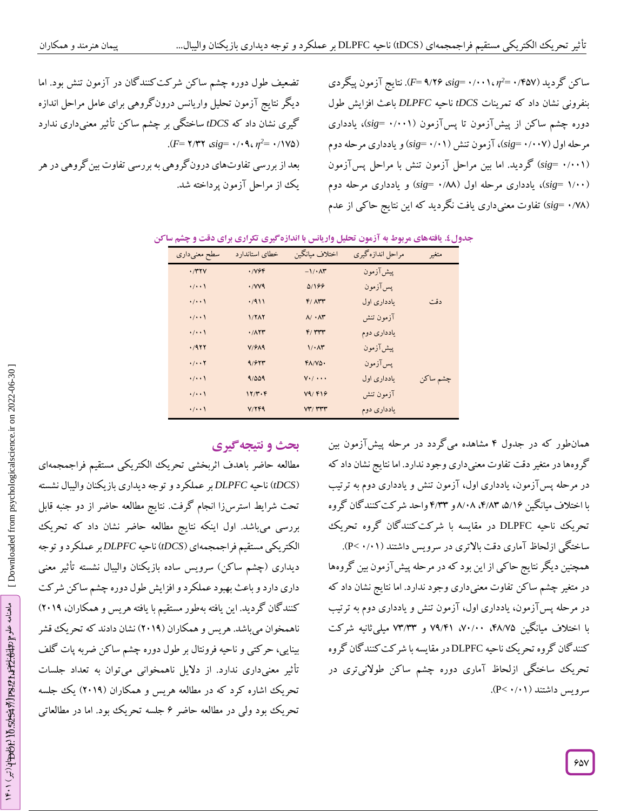ساکن گردید (۴۵۷*۰ - ÷<sub>n</sub>) sig= ۰/۰۰۱، او F*= ۹/۲۶ ،*sig=* . بنفرونی نشان داد که تمرینات *tDCS* ناحیه *DLPFC* باعث افزایش طول دوره چشم ساکن از پیشآزمون تا پسآزمون (۰/۰۰۱ =sig)، یادداری مرحله اول (۰/۰**۰۷ =sig)، آزمون تنش (۰/۰۱ =sig) و یادداری مرحله دوم** (sig= ۰/۰۰۱) گردید. اما بین مراحل آزمون تنش با مراحل پسآزمون sig= ۱/۰۰)، یادداری مرحله اول (۰/**۸۸ =**sig) و یادداری مرحله دوم *sig* )تفاوت معنیداری یافت نگردید که این نتایج حاکی از عدم = 0 /00 (

تضعیف طول دوره چشم ساکن شرکتکنندگان در آزمون تنش بود. اما دیگر نتایج آزمون تحلیل واریانس درونگروهی برای عامل مراحل اندازه گیری نشان داد که *tDCS ساختگی بر چشم ساکن تأثیر معنی*داری ندارد<br>(۰/۱۷۵ ۰*۰۹، ۰۹۰۳۹ sig=*۰/۰۹، *r=۲*/۳۲). *(F*= **٢/٣٢** *sig*= •/•٩، *η*<sup>2</sup> تفاوتهای درون کروهی به بررسی تفاوت بین کروهی در هر یک از مراحل آزمون پرداخته شد.

|  |  |  |  | جدول؛. یافتههای مربوط به آزمون تحلیل واریانس با اندازهگیری تکراری برای دقت و چشم ساکن |
|--|--|--|--|---------------------------------------------------------------------------------------|
|  |  |  |  |                                                                                       |

| سطح معنىدارى         | خطاى استاندارد              | اختلاف ميانگين                   | مراحل اندازهگیری | متغير    |
|----------------------|-----------------------------|----------------------------------|------------------|----------|
| $\cdot$ /۳۲۷         | .799                        | $-1/4$                           | پیشآزمون         |          |
| $\cdot/\cdot\cdot$   | $\cdot$ / $V$ $\vee$ $\vee$ | 01199                            | پس آزمون         |          |
| $\cdot/\cdot\cdot$   | .7911                       | $F/$ $\Lambda$ rr                | یادداری اول      | دقت      |
| $\cdot/\cdot\cdot$   | 1/717                       | $\Lambda/\cdot\Lambda$ ۳         | آزمون تنش        |          |
| $\cdot/\cdot\cdot$   | .711                        | F/TTT                            | یادداری دوم      |          |
| .7977                | V/FA9                       | $1/\cdot \Lambda r$              | ييش آزمون        |          |
| $\cdot/\cdot\cdot$ Y | 9/977                       | $FA/V\Delta$                     | يس آزمون         |          |
| $\cdot/\cdot\cdot$   | 9/009                       | $V·/$ $\cdots$                   | یادداری اول      | چشم ساكن |
| $\cdot/\cdot\cdot$   | 17/T.5                      | V9/919                           | آزمون تنش        |          |
| $\cdot/\cdot\cdot$   | V/ Y F 9                    | $VT/$ $\Upsilon\Upsilon\Upsilon$ | یادداری دوم      |          |

# **ی نتیجهگیر بحث و**

مطالعه حاضر باهدف اثربخشی تحریک الکتریکی مستقیم فراجمجمهای *tDCS* )ناحیه *DLPFC* بر عملکرد و توجه دیداری بازیکنان والیبال نشسته ( تحت شرایط استرسزا انجام گرفت. نتایج مطالعه حاضر از دو جنبه قابل<br>بررسی میباشد. اول اینکه نتایج مطالعه حاضر نشان داد که تحریک الکتریکی مستقیم فراجمجمهای (tDCS) ناحیه DLPFCبر عملکرد و توجه دیداری (چشم ساکن) سرویس ساده بازیکنان والیبال نشسته تأثیر معنی داری دارد و باعث بهبود عملکرد و افزایش طول دوره چشم ساکن شرکت کنند کان گردید. این یافته بهطور مستقیم با یافته هریس و همکاران، ۲۰۱۹) ناهمخوان میباشد. هریس و همکاران )2064( نشان دادند که تحریک قشر بینایی، حرکتی و ناحیه فرونتال بر طول دوره چشم ساکن ضربه پات گلف معنیداری ندارد. از دالیل ناهمخوانی میتوان به تعداد جلسات تأثیر تحریک اشاره کرد که در مطالعه هریس و همکاران )2064( یک جلسه تحریک بود ولی در مطالعه حاضر ۶ جلسه تحریک بود. اما در مطالعاتی

همانطور که در جدول ۴ مشاهده می کردد در مرحله پیش[زمون بین گروهها در متغیر دقت تفاوت معنیداری وجود ندارد. اما نتایج نشان داد که در مرحله پسآزمون، یادداری اول، آزمون تنش و یادداری دوم به ترتیب با اختلاف میانگین ۵/۱۶، ۵/۱۳، ۸/۰۸و ۴/۳۳ واحد شر کت کنند کان کروه تحریک ناحیه DLPFC در مقایسه با شرکتکنندگان گروه تحریک ساختگی ازلحاظ آماری دقت بالاتری در سرویس داشتند (۱/۰۰×C). همچنین دیگر نتایج حاکی از این بود که در مرحله پیش ازمون بین کروهها در متغیر چشم ساکن تفاوت معنیداری وجود ندارد. اما نتایج نشان داد که در مرحله پسآزمون، یادداری اول، آزمون تنش و یادداری دوم به ترتیب با اختلاف میانگین ۴۸/۷۵، ۷۰/۰۰، ۷۹/۴۱ و ۷۳/۳۳ میلی ثانیه شرکت کنندگان گروه تحریک ناحیه DLPFC در مقایسه با شرکتکنندگان گروه تحریک ساختگی ازلحاظ آماری دوره چشم ساکن طوالنیتری در سرویس داشتند (۱۰/۰× >P).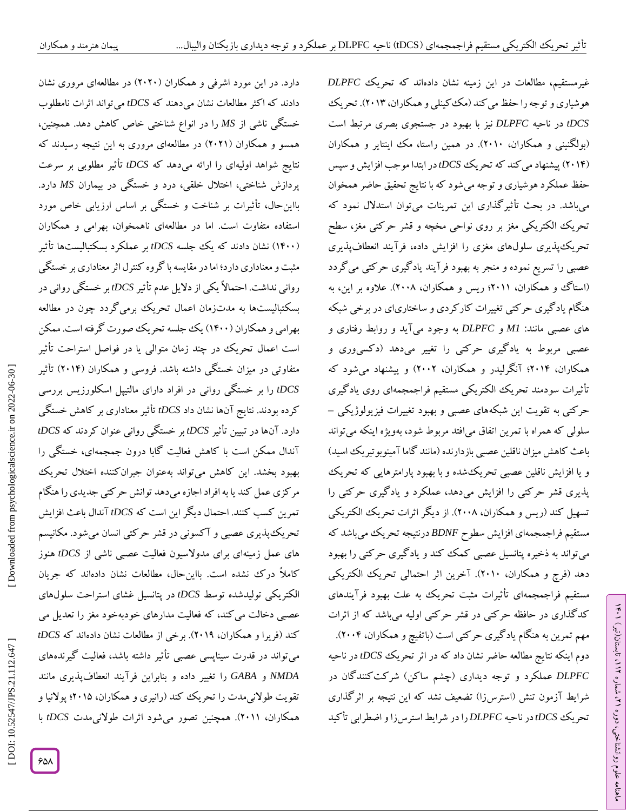دارد. در این مورد اشرفی و همکاران )2020( در مطالعهای مروری نشان دادند که اکثر مطالعات نشان میدهند که *tDCS* میتواند اثرات نامطلوب خستگی ناشی از *MS* را در انواع شناختی خاص کاهش دهد. همچنین، همسو و همکاران )2026( در مطالعهای مروری به این نتیجه رسیدند که نتایج شواهد اولیهای را ارائه میدهد که *tDCS* تأثیر مطلوبی بر سرعت پردازش شناختی، اختلال خلقی، درد و خستگی در بیماران MS دارد. بااین حال، تاثیرات بر شناخت و خستکی بر اساس ارزیابی خاص مورد استفاده متفاوت است. اما در مطالعهای ناهمخوان، بهرامی و همکاران 6400( نشان دادند که یک جلسه *tDCS* بر عملکرد بسکتبالیستها تأثیر ( مثبت و معناداری دارد؛ اما در مقایسه با کروه کنترل اثر معناداری بر خستگی روانی نداشت. احتماالً یکی از دالیل عدم تأثیر *tDCS* بر خستگی روانی در گردد چون در مطالعه بسکتبالیستها به مدتزمان اعمال تحریک برمی بهرامی و همکاران (۱۴۰۰) یک جلسه تحریک صورت گرفته است. ممکن است اعمال تحریک در چند زمان متوالی یا در فواصل استراحت تأثیر متفاوتی در میزان خستگی داشته باشد. فروسی و همکاران (۲۰۱۴) تاثیر رسی *tDCS* را بر خستگی روانی در افراد دارای مالتیپل اسکلورزیس بر کرده بودند. نتایج آنها نشان داد *tDCS* تأثیر معناداری بر کاهش خستگی دارد. آنها در تبیین تأثیر *tDCS* بر خستگی روانی عنوان کردند که *tDCS* آندال ممکن است با کاهش فعالیت گابا درون جمجمهای، خستگی را بهبود بخشد. این کاهش میتواند بهعنوان جبرانکننده اختالل تحریک مرکزی عمل کند یا به افراد اجازه میدهد توانش حرکتی جدیدی را هنگام تمرین کسب کنند. احتمال دیگر این است که *tDCS* آندال باعث افزایش تحریک پدیری عصبی و آکسونی در قشر حرکتی انسان میشود. مکانیسم های عمل زمینهای برای مدوالسیون فعالیت عصبی ناشی از *tDCS* هنوز کاملاً درک نشده است. بااینحال، مطالعات نشان دادهاند که جریان الکتریکی تولیدشده توسط *tDCS د*ر پتانسیل غشای استراحت سلولهای<br>عصبی دخالت می کند، که فعالیت مدارهای خودبهخود مغز را تعدیل می کند )فریرا و همکاران، 2064(. برخی از مطالعات نشان دادهاند که *tDCS* می تواند در قدرت سیناپسی عصبی تأثیر داشته باشد، فعالیت کیرندههای مانند ی بنابراین فرآیند انعطافپذیر *GABA* را تغییر داده و *NMDA* و تقویت طولانیمدت را تحریک کند (رانیری و همکاران، ۲۰۱۵؛ پولانیا و همکاران، ۲۰۱۱). همچنین تصور میشود اثرات طولانیم*دت tDCS* با

، مطالعات در این زمینه نشان دادهاند که تحریک *DLPFC* غیرمستقیم هوشیاری و توجه را حفظ می کند (مک کینلی و همکاران، ۲۰۱۳). تحریک مرتبط است بصری بهبود در جستجوی با *tDCS* در ناحیه *DLPFC* نیز )بولگنینی و همکاران، 2060(. در همین راستا، مک اینتایر و همکاران و سپس کند که تحریک *tDCS*در ابتدا موجب افزایش 2064( پیشنهادمی ( حفظ عملکرد هوشیاری و توجه میشود که با نتایج تحقیق حاضر همخوان میباشد. در بحث تأثیرگذاری این تمرینات میتوان استدالل نمود که تحریک الکتریکی مغز بر روی نواحی مخچه و قشر حرکتی مغز، سطح ی تحریکپذیری سلولهای مغزی را افزایش داده، فرآیند انعطافپذیر عصبی را تسریع نموده و منجر به بهبود فرآیند یادگیری حرکتی میگردد (استاگ و همکاران، ۲۰۱۱؛ ریس و همکاران، ۲۰۰۸). علاوه بر این، به هنگام یادگیری حرکتی تغییرات کارکردی و ساختاریای در برخی شبکه های عصبی مانند: *MI و DLPFC* به وجود میآید و روابط رفتاری و عصبی مربوط به یادگیری حرکتی را تغییر میدهد )دکسیوری و همکاران، 2064؛ آنگرلیدر و همکاران، 2002( و پیشنهاد میشود که تأثیرات سودمند تحریک الکتریکی مستقیم فراجمجمهای روی یادگیری<br>حرکتی به تقویت این شبکههای عصبی و بهبود تغییرات فیزیولوژیکی – سلولی که همراه با تمرین اتفاق میافتد مربوط شود، بهویژه اینکه می تواند باعث کاهش میزان ناقلین عصبی بازدارنده (مانند گاما آمینوبوتیریک اسید) و یا افزایش ناقلین عصبی تحریکشده و با بهبود پارامترهایی که تحریک پذیری قشر حرکتی را افزایش میدهد، عملکرد و یادگیری حرکتی را تسهیل کند )ریس و همکاران، 2000(. از دیگر اثرات تحریک الکتریکی مستقیم فراجمجمهای افزایش سطوح *BDNF* درنتیجه تحریک میباشد که میتواند به ذخیره پتانسیل عصبی کمک کند و یادگیری حرکتی را بهبود دهد )فرچ و همکاران، 2060(. آخرین اثر احتمالی تحریک الکتریکی مستقیم فراجمجمهای تأثیرات مثبت تحریک به علت بهبود فرآیندهای کدگذاری در حافظه حرکتی در قشر حرکتی اولیه میباشد که از اثرات مهم تمرین به هنگام یادگیری حرکتی است )باتفیچ و همکاران، 2004(. دوم اینکه نتایج مطالعه حاضر نشان داد که در اثر تحریک *tDCS* در ناحیه *DLPFC* عملکرد و توجه دیداری )چشم ساکن( شرکتکنندگان در تحریک *tDCS*در ناحیه *DLPFC* را در شرایط استرسزا و اضطرابی تأکید شرایط آزمون تنش )استرسزا( تضعیف نشد که این نتیجه بر اثرگذاری

ラン

تابستان)تیر( ،

ミ

، شماره 26

ماهنامه علوم روانشناختی، دوره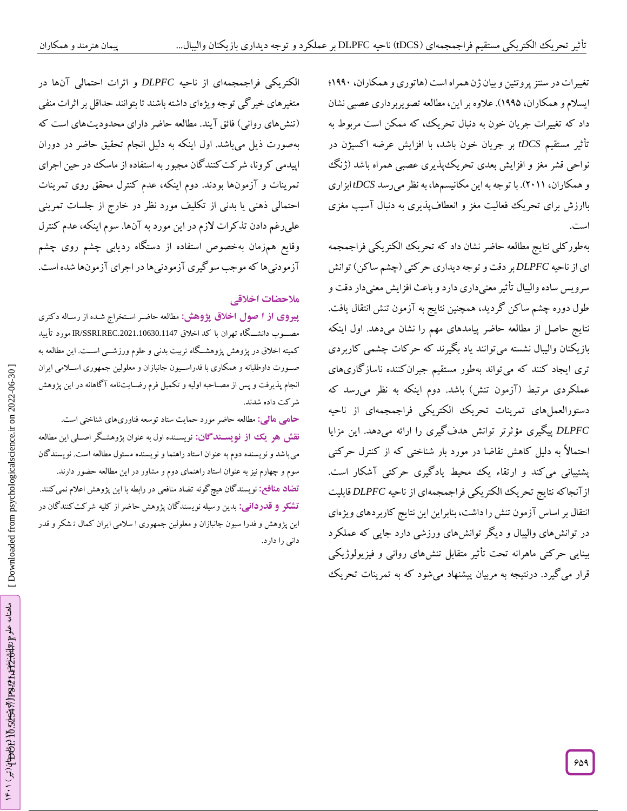تغییرات در سنتز پروتئین و بیان زن همراه است (هاتوری و همکاران، ۱۹۹۰؛ ایسالم و همکاران، 6445(. عالوه براین، مطالعهتصویربرداری عصبی نشان داد که تغییرات جریان خون به دنبال تحریک، که ممکن است مربوط به<br>تأثیر مستقیم *tDCS بر جر*یان خون باشد، با افزایش عرضه اکسیژن در نواحی قشر مغز و افزایش بعدی تحریک پذیری عصبی همراه باشد (ژنک و همکاران، 2066(. با توجهبهاین مکانیسمها، بهنظرمیرسد *tDCS* ابزاری باارزش برای تحریک فعالیت مغز و انعطافپدیری به دنبال اسیب مغزی است.

بهطور کلی نتایج مطالعه حاضر نشان داد که تحریک الکتریکی فراجمجمه ای از ناحیه *DLPFC* بر دقت و توجه دیداری حرکتی )چشم ساکن( توانش سرویس ساده والیبال تأثیر معنیداری دارد و باعث افزایش معنیدار دقت و طول دوره چشم ساکن گردید، همچنین نتایج به آزمون تنش انتقال یافت. نتایج حاصل از مطالعه حاضر پیامدهای مهم را نشان میدهد. اول اینکه بازیکنان والیبال نشسته میتوانند یاد بگیرند که حرکات چشمی کاربردی تری ایجاد کنند که میتواند بهطور مستقیم جبرانکننده ناسازگاریهای<br>عملکردی مرتبط (آزمون تنش) باشد. دوم اینکه به نظر می<sub>ل</sub>رسد که دستورالعمل۱عای تمرینات تحریک الکتریکی فراجمجمهای از ناحیه<br>*DLPFC* پیگیری مؤثرتر توانش هدفگیری را ارائه میدهد. این مزایا احتمالاً به دلیل کاهش تقاضا در مورد بار شناختی که از کنترل حرکتی<br>پشتیبانی میکند و ارتقاء یک محیط یادگیری حرکتی آشکار است. ازآنجاکه نتایج تحریک الکتریکی فراجمجمهای از ناحیه *DLPFC* قابلیت انتقال بر اساس آزمون تنش را داشت، بنابراین این نتایج کاربردهای ویژهای در توانشهای والیبال و دیگر توانشهای ورزشی دارد جایی که عملکرد بینایی حرکتی ماهرانه تحت تأثیر متقابل تنش۵ای روانی و فیزیولوژیکی قرار میگیرد. درنتیجه به مربیان پیشنهاد میشود که به تمرینات تحریک

الکتریکی فراجمجمهای از ناحیه *DLPFC* و اثرات احتمالی آنها در متغیرهای خیرگی توجه ویژهای داشته باشند تا بتوانند حداقل بر اثرات منفی )تنشهای روانی( فائق آیند. مطالعه حاضر دارای محدودیتهای است که بهصورت ذیل میباشد. اول اینکه به دلیل انجام تحقیق حاضر در دوران اپیدمی کرونا، شرکت کنندگان مجبور به استفاده از ماسک در حین اجرای تمرینات و آزمونها بودند. دوم اینکه، عدم کنترل محقق روی تمرینات احتمالی ذهنی یا بدنی از تکلیف مورد نظر در خارج از جلسات تمرینی علی رغم دادن تذکرات لازم در این مورد به آنها. سوم اینکه، عدم کنترل وقایع همزمان بهخصوص استفاده از دستگاه ردیابی چشم روی چشم<br>آزمودنیها که موجب سوگیری آزمودنیها در اجرای آزمونها شده است.<br>هلا**حضات اخلاقی**<br>پی**روی از ا صول اخلاق پژوهش: مطالعه** حاضر استخراج شده از رساله دکتری<br>پی**روی از ا صول ا** 

کمیته اخلاق در پژوهش پژوهشـــکاه تربیت بدنی و علوم ورزشــــی اســـت. این مطالعه به صررورت داوطلبانه و همکاری با فدراسرریون جانبازان و معلولین جمهوری اسررالمی ایران انجام پذیرفت و پس از مصراحبه اولیه و تکمیل فرم رضرایتنامه آگاهانه در این پژوهش شرکت داده شدند.

مطالعه حاضر مورد حمایت ستاد توسعه فناوریهای شناختی است. **: مالی حامی** <mark>نقش هو یک از نویسـندگان:</mark> نویسـنده اول به عنوان پژوهشـکر اصـلی این مطالعه میباشد و نویسنده دوم به عنوان استاد راهنما و نویسنده مسئول مطالعه است. نویسندگان

سوم و چهارم نیز به عنوان استاد راهنمای دوم و مشاور در این مطالعه حضور دارند. نویسندگان هیچگونه تضاد منافعی در رابطه با این پژوهش اعالم نمیکنند. **تضاد منافع:** بدین وسیله نویسندگان پژوهش حاضر از کلیه شرکت کنندگان در **: قدردانی تشکر و** این پژوهش و فدرا سیون جانبازان و معلولین جمهوری ا سالمی ایران کمال ت شکر و قدر دانی را دارد.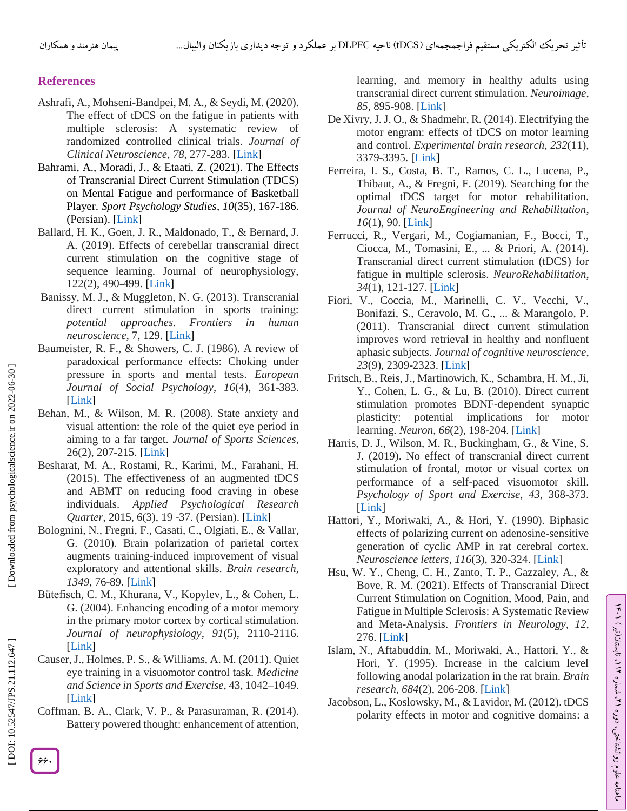# **References**

- Ashrafi, A., Mohseni -Bandpei, M. A., & Seydi, M. (2020). The effect of tDCS on the fatigue in patients with multiple sclerosis: A systematic review of randomized controlled clinical trials. *Journal of Clinical Neuroscience* , *78*, 277 -283. [\[Link](https://doi.org/10.1016/j.jocn.2020.04.106) ]
- Bahrami, A., Moradi, J., & Etaati, Z. (2021). The Effects of Transcranial Direct Current Stimulation (TDCS) on Mental Fatigue and performance of Basketball Player. *Sport Psychology Studies* , *10*(35), 167 -186. (Persian). [\[Link](file:///C:/Users/DANARAYANEH/Downloads/10.22089/SPSYJ.2020.8453.1917) ]
- Ballard, H. K., Goen, J. R., Maldonado, T., & Bernard, J. A. (2019). Effects of cerebellar transcranial direct current stimulation on the cognitive stage of sequence learning. Journal of neurophysiology, 122(2), 490-499. [\[Link](https://doi.org/10.1152/jn.00036.2019)]
- Banissy, M. J., & Muggleton, N. G. (2013). Transcranial direct current stimulation in sports training: *potential approaches. Frontiers in human neuroscience*, 7, 129. [\[Link](https://doi.org/10.3389/fnhum.2013.00129) ]
- Baumeister, R. F., & Showers, C. J. (1986). A review of paradoxical performance effects: Choking under pressure in sports and mental tests. *European Journal of Social Psychology* , *16*(4), 361 -383. [\[Link](https://doi.org/10.1002/ejsp.2420160405) ]
- Behan, M., & Wilson, M. R. (2008). State anxiety and visual attention: the role of the quiet eye period in aiming to a far target*. Journal of Sports Sciences*, 26(2), 207-215. [\[Link](https://doi.org/10.1080/02640410701446919)]
- Besharat, M. A., Rostami, R., Karimi, M., Farahani, H. (2015). The effectiveness of an augmented tDCS and ABMT on reducing food craving in obese individuals. *Applied Psychological Research*  Quarter, 2015, 6(3), 19 -37. (Persian). [\[Link](https://dx.doi.org/10.22059/japr.2015.55043)]
- Bolognini, N., Fregni, F., Casati, C., Olgiati, E., & Vallar, G. (2010). Brain polarization of parietal cortex augments training -induced improvement of visual exploratory and attentional skills. *Brain research* , 1349, 76-89. [\[Link](https://doi.org/10.1016/j.brainres.2010.06.053)]
- Bütefisch, C. M., Khurana, V., Kopylev, L., & Cohen, L. G. (2004). Enhancing encoding of a motor memory in the primary motor cortex by cortical stimulation. *Journal of neurophysiology* , *91*(5), 2110 -2116. [\[Link](https://doi.org/10.1152/jn.01038.2003) ]
- Causer, J., Holmes, P. S., & Williams, A. M. (2011). Quiet eye training in a visuomotor control task. *Medicine and Science in Sports and Exercise*, 43, 1042 –1049. [\[Link](http://dx.doi.org/10.1249/MSS.0b013e3182035de6) ]
- Coffman, B. A., Clark, V. P., & Parasuraman, R. (2014). Battery powered thought: enhancement of attention,

learning, and memory in healthy adults using transcranial direct current stimulation. *Neuroimage* , *85*, 895 -908. [\[Link](https://doi.org/10.1016/j.neuroimage.2013.07.083) ]

- De Xivry, J. J. O., & Shadmehr, R. (2014). Electrifying the motor engram: effects of tDCS on motor learning and control. *Experimental brain research* , *232*(11), 3379 -3395. [\[Link](file:///C:/Users/DANARAYANEH/Downloads/DOI%2010.1007/s00221-014-4087-6) ]
- Ferreira, I. S., Costa, B. T., Ramos, C. L., Lucena, P., Thibaut, A., & Fregni, F. (2019). Searching for the optimal tDCS target for motor rehabilitation. *Journal of NeuroEngineering and Rehabilitation* , *16*(1), 90. [\[Link](https://link.springer.com/article/10.1186/s12984-019-0561-5) ]
- Ferrucci, R., Vergari, M., Cogiamanian, F., Bocci, T., Ciocca, M., Tomasini, E., ... & Priori, A. (2014). Transcranial direct current stimulation (tDCS) for fatigue in multiple sclerosis. *NeuroRehabilitation* , *34*(1), 121 -127. [\[Link](file:///C:/Users/DANARAYANEH/Downloads/10.3233/NRE-131019) ]
- Fiori, V., Coccia, M., Marinelli, C. V., Vecchi, V., Bonifazi, S., Ceravolo, M. G., ... & Marangolo, P. (2011). Transcranial direct current stimulation improves word retrieval in healthy and nonfluent aphasic subjects. *Journal of cognitive neuroscience* , 23(9), 2309-2323. [\[Link](https://doi.org/10.1162/jocn.2010.21579)]
- Fritsch, B., Reis, J., Martinowich, K., Schambra, H. M., Ji, Y., Cohen, L. G., & Lu, B. (2010). Direct current stimulation promotes BDNF -dependent synaptic plasticity: potential implications for motor learning. *Neuron*, 66(2), 198-204. [\[Link](https://doi.org/10.1016/j.neuron.2010.03.035)]
- Harris, D. J., Wilson, M. R., Buckingham, G., & Vine, S. J. (2019). No effect of transcranial direct current stimulation of frontal, motor or visual cortex on performance of a self -paced visuomotor skill. *Psychology of Sport and Exercise* , *43*, 368 -373. [\[Link](https://doi.org/10.1016/j.psychsport.2019.04.014) ]
- Hattori, Y., Moriwaki, A., & Hori, Y. (1990). Biphasic effects of polarizing current on adenosine -sensitive generation of cyclic AMP in rat cerebral cortex. *Neuroscience letters* , *116*(3), 320 -324. [\[Link](https://doi.org/10.1016/0304-3940\(90\)90094-P) ]
- Hsu, W. Y., Cheng, C. H., Zanto, T. P., Gazzaley, A., & Bove, R. M. (2021). Effects of Transcranial Direct Current Stimulation on Cognition, Mood, Pain, and Fatigue in Multiple Sclerosis: A Systematic Review and Meta -Analysis. *Frontiers in Neurology* , *12*, 276. [\[Link](https://doi.org/10.3389/fneur.2021.626113) ]
- Islam, N., Aftabuddin, M., Moriwaki, A., Hattori, Y., & Hori, Y. (1995). Increase in the calcium level following anodal polarization in the rat brain. *Brain research* , *684*(2), 206 -208. [\[Link](https://doi.org/10.1016/0006-8993\(95\)00434-R) ]
- Jacobson, L., Koslowsky, M., & Lavidor, M. (2012). tDCS polarity effects in motor and cognitive domains: a

ラン تابستان)تیر( ،ミ ، شماره 26ماهنامه علوم روانشناختی، دوره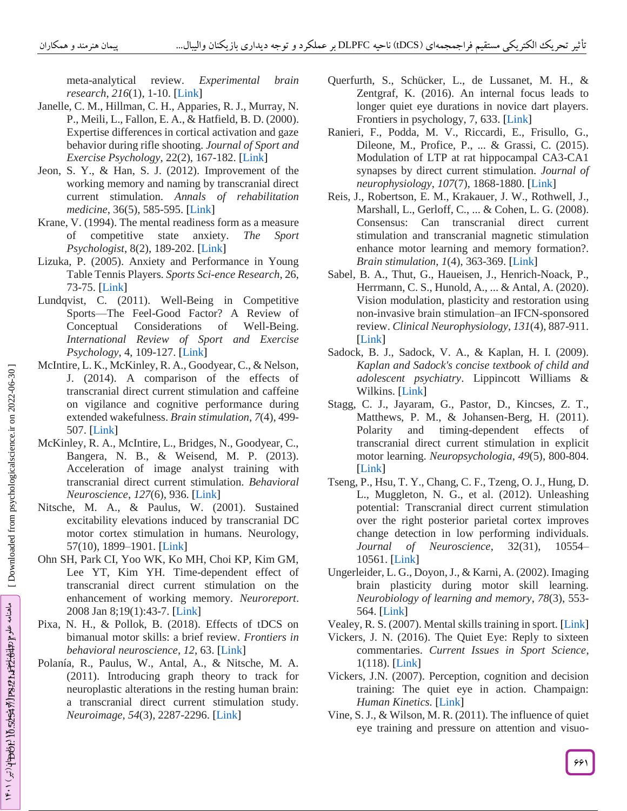meta -analytical review. *Experimental brain research* , *216*(1), 1 -10. [\[Link](file:///C:/Users/DANARAYANEH/Downloads/10.1007/s00221-011-2891-9) ]

- Janelle, C. M., Hillman, C. H., Apparies, R. J., Murray, N. P., Meili, L., Fallon, E. A., & Hatfield, B. D. (2000). Expertise differences in cortical activation and gaze behavior during rifle shooting. *Journal of Sport and Exercise Psychology*, 22(2), 167 -182. [\[Link](https://doi.org/10.1123/jsep.22.2.167) ]
- Jeon, S. Y., & Han, S. J. (2012). Improvement of the working memory and naming by transcranial direct current stimulation. *Annals of rehabilitation medicine*, 36(5), 585 -595. [\[Link](https://dx.doi.org/10.5535%2Farm.2012.36.5.585) ]
- Krane, V. (1994). The mental readiness form as a measure of competitive state anxiety. *The Sport Psychologist*, 8(2), 189 -202. [\[Link](https://doi.org/10.1123/tsp.8.2.189) ]
- Lizuka, P. (2005). Anxiety and Performance in Young Table Tennis Players. *Sports Sci -ence Research*, 26, 73 -75. [\[Link](http://www.tenisdemesa.com.co/documentos/anxiety.pdf) ]
- Lundqvist, C. (2011). Well -Being in Competitive Sports —The Feel -Good Factor? A Review of Conceptual Considerations of Well-Being. *International Review of Sport and Exercise*  Psychology, 4, 109-127. [\[Link](https://doi.org/10.1080/1750984X.2011.584067)]
- McIntire, L. K., McKinley, R. A., Goodyear, C., & Nelson, J. (2014). A comparison of the effects of transcranial direct current stimulation and caffeine on vigilance and cognitive performance during extended wakefulness. *Brain stimulation* , *7*(4), 499 - 507. [\[Link](https://doi.org/10.1016/j.brs.2014.04.008) ]
- McKinley, R. A., McIntire, L., Bridges, N., Goodyear, C., Bangera, N. B., & Weisend, M. P. (2013). Acceleration of image analyst training with transcranial direct current stimulation. *Behavioral Neuroscience* , *127*(6), 936. [\[Link](https://psycnet.apa.org/buy/2013-43049-012) ]
- Nitsche, M. A., & Paulus, W. (2001). Sustained excitability elevations induced by transcranial DC motor cortex stimulation in humans. Neurology, 57(10), 1899-1901. [\[Link](https://n.neurology.org/content/57/10/1899.short)]
- Ohn SH, Park CI, Yoo WK, Ko MH, Choi KP, Kim GM, Lee YT, Kim YH. Time -dependent effect of transcranial direct current stimulation on the enhancement of working memory. *Neuroreport*. 2008 Jan 8;19(1):43 -7. [\[Link](file:///C:/Users/DANARAYANEH/Downloads/10.1097/WNR.0b013e3282f2adfd) ]
- Pixa, N. H., & Pollok, B. (2018). Effects of tDCS on bimanual motor skills: a brief review. *Frontiers in behavioral neuroscience* , *12*, 63. [\[Link](https://doi.org/10.3389/fnbeh.2018.00063) ]
- Polanía, R., Paulus, W., Antal, A., & Nitsche, M. A. (2011). Introducing graph theory to track for neuroplastic alterations in the resting human brain: a transcranial direct current stimulation study. *Neuroimage* , *54*(3), 2287 -2296. [\[Link](https://doi.org/10.1016/j.neuroimage.2010.09.085) ]
- Querfurth, S., Schücker, L., de Lussanet, M. H., & Zentgraf, K. (2016). An internal focus leads to longer quiet eye durations in novice dart players. Frontiers in psychology, 7, 633. [\[Link](https://doi.org/10.3389/fpsyg.2016.00633)]
- Ranieri, F., Podda, M. V., Riccardi, E., Frisullo, G., Dileone, M., Profice, P., ... & Grassi, C. (2015). Modulation of LTP at rat hippocampal CA3 -CA1 synapses by direct current stimulation. *Journal of neurophysiology* , *107*(7), 1868 -1880. [\[Link](https://doi.org/10.1152/jn.00319.2011) ]
- Reis, J., Robertson, E. M., Krakauer, J. W., Rothwell, J., Marshall, L., Gerloff, C., ... & Cohen, L. G. (2008). Consensus: Can transcranial direct current stimulation and transcranial magnetic stimulation enhance motor learning and memory formation?. *Brain stimulation* , *1*(4), 363 -369. [\[Link](https://doi.org/10.1016/j.brs.2008.08.001) ]
- Sabel, B. A., Thut, G., Haueisen, J., Henrich -Noack, P., Herrmann, C. S., Hunold, A., ... & Antal, A. (2020). Vision modulation, plasticity and restoration using non -invasive brain stimulation –an IFCN -sponsored review. *Clinical Neurophysiology* , *131*(4), 887 -911. [\[Link](https://doi.org/10.1016/j.clinph.2020.01.008) ]
- Sadock, B. J., Sadock, V. A., & Kaplan, H. I. (2009). *Kaplan and Sadock's concise textbook of child and adolescent psychiatry*. Lippincott Williams & Wilkins. [\[Link](https://books.google.com/books?hl=en&lr=&id=DUFZ9NP2GK0C&oi=fnd&pg=PA1&dq=Sadock,+B.+J.,+Sadock,+V.+A.,+%26+Kaplan,+H.+I.+\(2009\).+Kaplan+and+Sadock%27s+concise+textbook+of+child+and+adolescent+psychiatry.+Lippincott+Williams+%26+Wilkins.+&ots=1qq_EdpHDz&sig=7DpBcMvudazJ1TCF_NOFPvdczx0) ]
- Stagg, C. J., Jayaram, G., Pastor, D., Kincses, Z. T., Matthews, P. M., & Johansen-Berg, H. (2011). Polarity and timing -dependent effects of transcranial direct current stimulation in explicit motor learning. *Neuropsychologia* , *49*(5), 800 -804. [\[Link](https://doi.org/10.1016/j.neuropsychologia.2011.02.009) ]
- Tseng, P., Hsu, T. Y., Chang, C. F., Tzeng, O. J., Hung, D. L., Muggleton, N. G., et al. (2012). Unleashing potential: Transcranial direct current stimulation over the right posterior parietal cortex improves change detection in low performing individuals. *Journal of Neuroscience*, 32(31), 10554-10561. [\[Link](https://www.jneurosci.org/content/32/31/10554.short) ]
- Ungerleider, L. G., Doyon, J., & Karni, A. (2002). Imaging brain plasticity during motor skill learning. *Neurobiology of learning and memory* , *78*(3), 553 - 564. [\[Link](https://doi.org/10.1006/nlme.2002.4091) ]
- Vealey, R. S. (2007). Mental skills training in sport. [\[Link](https://psycnet.apa.org/record/2007-01666-021)]
- Vickers, J. N. (2016). The Quiet Eye: Reply to sixteen commentaries. *Current Issues in Sport Science*, 1(118). [\[Link](https://hasbonline.unibe.ch/index.php/ciss/article/download/7542/10541) ]
- Vickers, J.N. (2007). Perception, cognition and decision training: The quiet eye in action. Champaign: *Human Kinetics.* [\[Link](https://books.google.com/books?hl=en&lr=&id=2iVyZNLnVxMC&oi=fnd&pg=PR7&dq=Vickers,+J.N.+\(2007\).+Perception,+cognition+and+decision+training:+The+quiet+eye+in+action.+Champaign:+Human+Kinetics.+&ots=aJZOPNwtI9&sig=rBlpIkJowGJusj8Wy1tZAQGTorA) ]
- Vine, S. J., & Wilson, M. R. (2011). The influence of quiet eye training and pressure on attention and visuo -